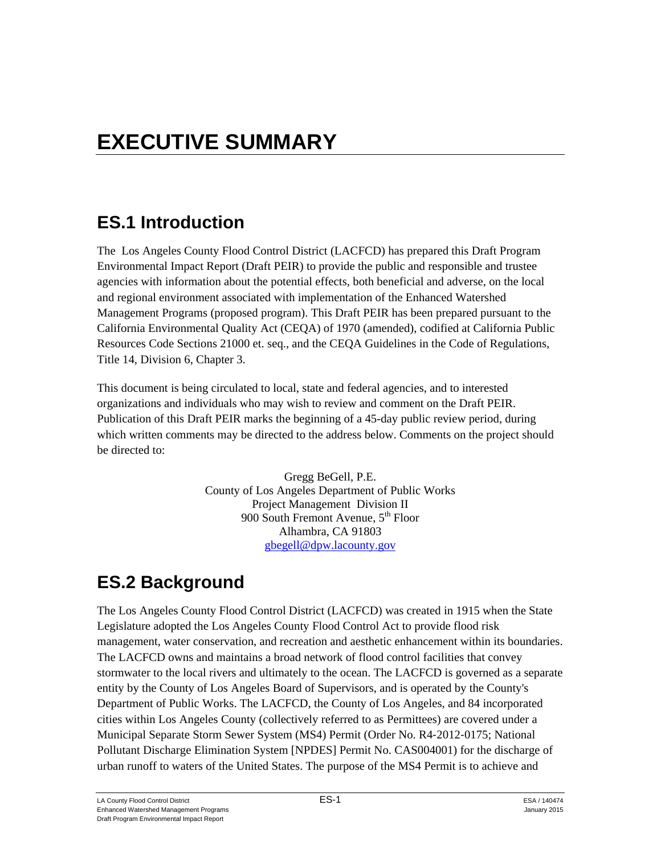# **EXECUTIVE SUMMARY**

### **ES.1 Introduction**

The Los Angeles County Flood Control District (LACFCD) has prepared this Draft Program Environmental Impact Report (Draft PEIR) to provide the public and responsible and trustee agencies with information about the potential effects, both beneficial and adverse, on the local and regional environment associated with implementation of the Enhanced Watershed Management Programs (proposed program). This Draft PEIR has been prepared pursuant to the California Environmental Quality Act (CEQA) of 1970 (amended), codified at California Public Resources Code Sections 21000 et. seq., and the CEQA Guidelines in the Code of Regulations, Title 14, Division 6, Chapter 3.

This document is being circulated to local, state and federal agencies, and to interested organizations and individuals who may wish to review and comment on the Draft PEIR. Publication of this Draft PEIR marks the beginning of a 45-day public review period, during which written comments may be directed to the address below. Comments on the project should be directed to:

> Gregg BeGell, P.E. County of Los Angeles Department of Public Works Project Management Division II 900 South Fremont Avenue,  $5<sup>th</sup>$  Floor Alhambra, CA 91803 gbegell@dpw.lacounty.gov

### **ES.2 Background**

The Los Angeles County Flood Control District (LACFCD) was created in 1915 when the State Legislature adopted the Los Angeles County Flood Control Act to provide flood risk management, water conservation, and recreation and aesthetic enhancement within its boundaries. The LACFCD owns and maintains a broad network of flood control facilities that convey stormwater to the local rivers and ultimately to the ocean. The LACFCD is governed as a separate entity by the County of Los Angeles Board of Supervisors, and is operated by the County's Department of Public Works. The LACFCD, the County of Los Angeles, and 84 incorporated cities within Los Angeles County (collectively referred to as Permittees) are covered under a Municipal Separate Storm Sewer System (MS4) Permit (Order No. R4‐2012‐0175; National Pollutant Discharge Elimination System [NPDES] Permit No. CAS004001) for the discharge of urban runoff to waters of the United States. The purpose of the MS4 Permit is to achieve and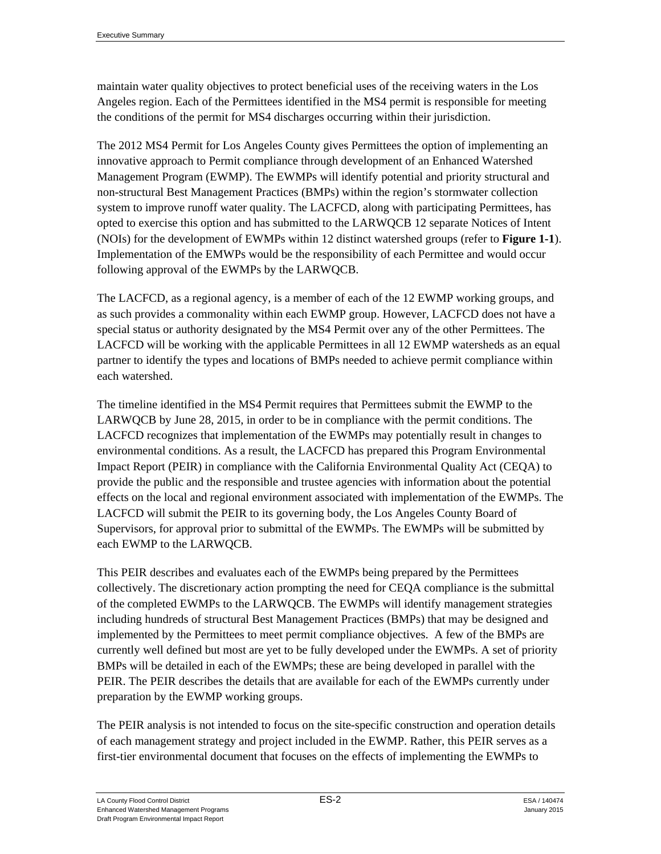maintain water quality objectives to protect beneficial uses of the receiving waters in the Los Angeles region. Each of the Permittees identified in the MS4 permit is responsible for meeting the conditions of the permit for MS4 discharges occurring within their jurisdiction.

The 2012 MS4 Permit for Los Angeles County gives Permittees the option of implementing an innovative approach to Permit compliance through development of an Enhanced Watershed Management Program (EWMP). The EWMPs will identify potential and priority structural and non-structural Best Management Practices (BMPs) within the region's stormwater collection system to improve runoff water quality. The LACFCD, along with participating Permittees, has opted to exercise this option and has submitted to the LARWQCB 12 separate Notices of Intent (NOIs) for the development of EWMPs within 12 distinct watershed groups (refer to **Figure 1-1**). Implementation of the EMWPs would be the responsibility of each Permittee and would occur following approval of the EWMPs by the LARWQCB.

The LACFCD, as a regional agency, is a member of each of the 12 EWMP working groups, and as such provides a commonality within each EWMP group. However, LACFCD does not have a special status or authority designated by the MS4 Permit over any of the other Permittees. The LACFCD will be working with the applicable Permittees in all 12 EWMP watersheds as an equal partner to identify the types and locations of BMPs needed to achieve permit compliance within each watershed.

The timeline identified in the MS4 Permit requires that Permittees submit the EWMP to the LARWQCB by June 28, 2015, in order to be in compliance with the permit conditions. The LACFCD recognizes that implementation of the EWMPs may potentially result in changes to environmental conditions. As a result, the LACFCD has prepared this Program Environmental Impact Report (PEIR) in compliance with the California Environmental Quality Act (CEQA) to provide the public and the responsible and trustee agencies with information about the potential effects on the local and regional environment associated with implementation of the EWMPs. The LACFCD will submit the PEIR to its governing body, the Los Angeles County Board of Supervisors, for approval prior to submittal of the EWMPs. The EWMPs will be submitted by each EWMP to the LARWQCB.

This PEIR describes and evaluates each of the EWMPs being prepared by the Permittees collectively. The discretionary action prompting the need for CEQA compliance is the submittal of the completed EWMPs to the LARWQCB. The EWMPs will identify management strategies including hundreds of structural Best Management Practices (BMPs) that may be designed and implemented by the Permittees to meet permit compliance objectives. A few of the BMPs are currently well defined but most are yet to be fully developed under the EWMPs. A set of priority BMPs will be detailed in each of the EWMPs; these are being developed in parallel with the PEIR. The PEIR describes the details that are available for each of the EWMPs currently under preparation by the EWMP working groups.

The PEIR analysis is not intended to focus on the site-specific construction and operation details of each management strategy and project included in the EWMP. Rather, this PEIR serves as a first-tier environmental document that focuses on the effects of implementing the EWMPs to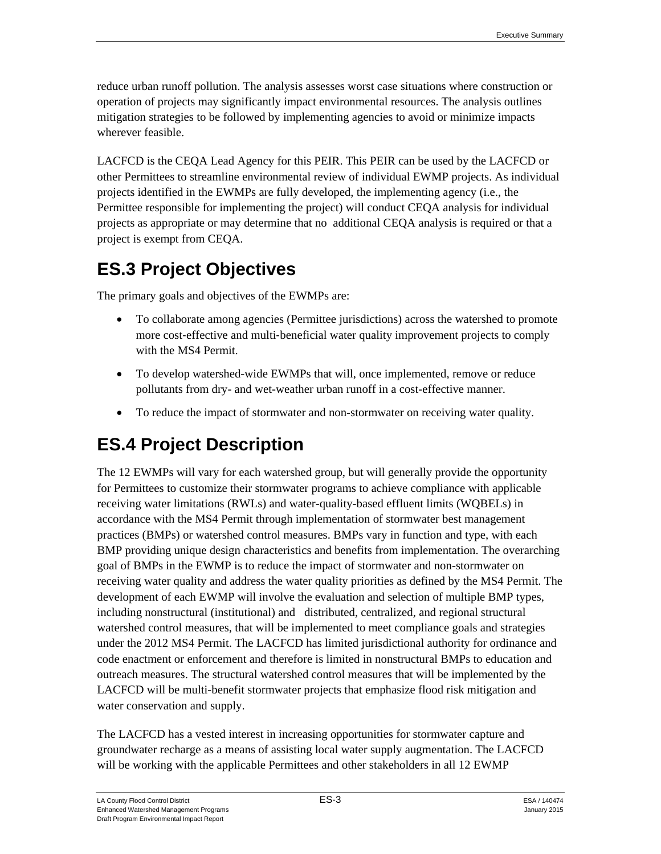reduce urban runoff pollution. The analysis assesses worst case situations where construction or operation of projects may significantly impact environmental resources. The analysis outlines mitigation strategies to be followed by implementing agencies to avoid or minimize impacts wherever feasible.

LACFCD is the CEQA Lead Agency for this PEIR. This PEIR can be used by the LACFCD or other Permittees to streamline environmental review of individual EWMP projects. As individual projects identified in the EWMPs are fully developed, the implementing agency (i.e., the Permittee responsible for implementing the project) will conduct CEQA analysis for individual projects as appropriate or may determine that no additional CEQA analysis is required or that a project is exempt from CEQA.

### **ES.3 Project Objectives**

The primary goals and objectives of the EWMPs are:

- To collaborate among agencies (Permittee jurisdictions) across the watershed to promote more cost-effective and multi-beneficial water quality improvement projects to comply with the MS4 Permit.
- To develop watershed-wide EWMPs that will, once implemented, remove or reduce pollutants from dry- and wet-weather urban runoff in a cost-effective manner.
- To reduce the impact of stormwater and non-stormwater on receiving water quality.

## **ES.4 Project Description**

The 12 EWMPs will vary for each watershed group, but will generally provide the opportunity for Permittees to customize their stormwater programs to achieve compliance with applicable receiving water limitations (RWLs) and water-quality-based effluent limits (WQBELs) in accordance with the MS4 Permit through implementation of stormwater best management practices (BMPs) or watershed control measures. BMPs vary in function and type, with each BMP providing unique design characteristics and benefits from implementation. The overarching goal of BMPs in the EWMP is to reduce the impact of stormwater and non-stormwater on receiving water quality and address the water quality priorities as defined by the MS4 Permit. The development of each EWMP will involve the evaluation and selection of multiple BMP types, including nonstructural (institutional) and distributed, centralized, and regional structural watershed control measures, that will be implemented to meet compliance goals and strategies under the 2012 MS4 Permit. The LACFCD has limited jurisdictional authority for ordinance and code enactment or enforcement and therefore is limited in nonstructural BMPs to education and outreach measures. The structural watershed control measures that will be implemented by the LACFCD will be multi-benefit stormwater projects that emphasize flood risk mitigation and water conservation and supply.

The LACFCD has a vested interest in increasing opportunities for stormwater capture and groundwater recharge as a means of assisting local water supply augmentation. The LACFCD will be working with the applicable Permittees and other stakeholders in all 12 EWMP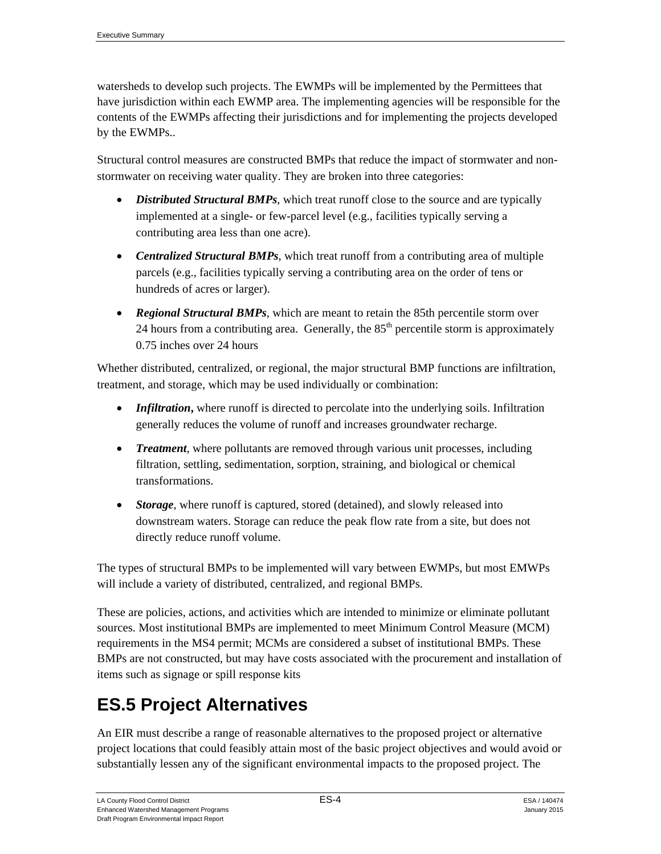watersheds to develop such projects. The EWMPs will be implemented by the Permittees that have jurisdiction within each EWMP area. The implementing agencies will be responsible for the contents of the EWMPs affecting their jurisdictions and for implementing the projects developed by the EWMPs..

Structural control measures are constructed BMPs that reduce the impact of stormwater and nonstormwater on receiving water quality. They are broken into three categories:

- *Distributed Structural BMPs*, which treat runoff close to the source and are typically implemented at a single- or few-parcel level (e.g., facilities typically serving a contributing area less than one acre).
- *Centralized Structural BMPs*, which treat runoff from a contributing area of multiple parcels (e.g., facilities typically serving a contributing area on the order of tens or hundreds of acres or larger).
- *Regional Structural BMPs*, which are meant to retain the 85th percentile storm over 24 hours from a contributing area. Generally, the  $85<sup>th</sup>$  percentile storm is approximately 0.75 inches over 24 hours

Whether distributed, centralized, or regional, the major structural BMP functions are infiltration, treatment, and storage, which may be used individually or combination:

- *Infiltration*, where runoff is directed to percolate into the underlying soils. Infiltration generally reduces the volume of runoff and increases groundwater recharge.
- *Treatment*, where pollutants are removed through various unit processes, including filtration, settling, sedimentation, sorption, straining, and biological or chemical transformations.
- *Storage*, where runoff is captured, stored (detained), and slowly released into downstream waters. Storage can reduce the peak flow rate from a site, but does not directly reduce runoff volume.

The types of structural BMPs to be implemented will vary between EWMPs, but most EMWPs will include a variety of distributed, centralized, and regional BMPs.

These are policies, actions, and activities which are intended to minimize or eliminate pollutant sources. Most institutional BMPs are implemented to meet Minimum Control Measure (MCM) requirements in the MS4 permit; MCMs are considered a subset of institutional BMPs. These BMPs are not constructed, but may have costs associated with the procurement and installation of items such as signage or spill response kits

# **ES.5 Project Alternatives**

An EIR must describe a range of reasonable alternatives to the proposed project or alternative project locations that could feasibly attain most of the basic project objectives and would avoid or substantially lessen any of the significant environmental impacts to the proposed project. The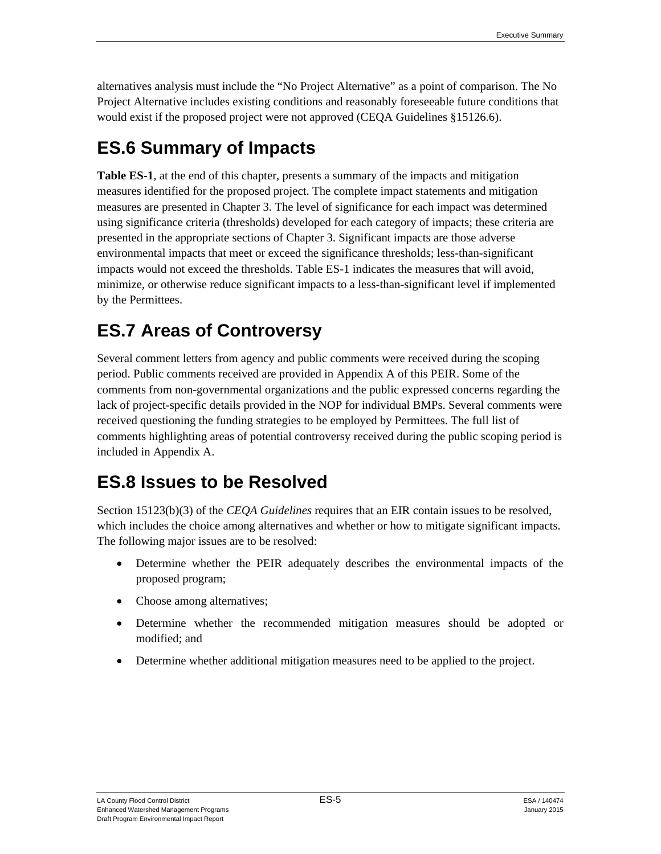alternatives analysis must include the "No Project Alternative" as a point of comparison. The No Project Alternative includes existing conditions and reasonably foreseeable future conditions that would exist if the proposed project were not approved (CEQA Guidelines §15126.6).

### **ES.6 Summary of Impacts**

**Table ES-1**, at the end of this chapter, presents a summary of the impacts and mitigation measures identified for the proposed project. The complete impact statements and mitigation measures are presented in Chapter 3. The level of significance for each impact was determined using significance criteria (thresholds) developed for each category of impacts; these criteria are presented in the appropriate sections of Chapter 3. Significant impacts are those adverse environmental impacts that meet or exceed the significance thresholds; less-than-significant impacts would not exceed the thresholds. Table ES-1 indicates the measures that will avoid, minimize, or otherwise reduce significant impacts to a less-than-significant level if implemented by the Permittees.

## **ES.7Areas of Controversy**

Several comment letters from agency and public comments were received during the scoping period. Public comments received are provided in Appendix A of this PEIR. Some of the comments from non-governmental organizations and the public expressed concerns regarding the lack of project-specific details provided in the NOP for individual BMPs. Several comments were received questioning the funding strategies to be employed by Permittees. The full list of comments highlighting areas of potential controversy received during the public scoping period is included in Appendix A.

### **ES.8 Issues to be Resolved**

Section 15123(b)(3) of the *CEQA Guidelines* requires that an EIR contain issues to be resolved, which includes the choice among alternatives and whether or how to mitigate significant impacts. The following major issues are to be resolved:

- Determine whether the PEIR adequately describes the environmental impacts of the proposed program;
- Choose among alternatives;
- Determine whether the recommended mitigation measures should be adopted or modified; and
- Determine whether additional mitigation measures need to be applied to the project.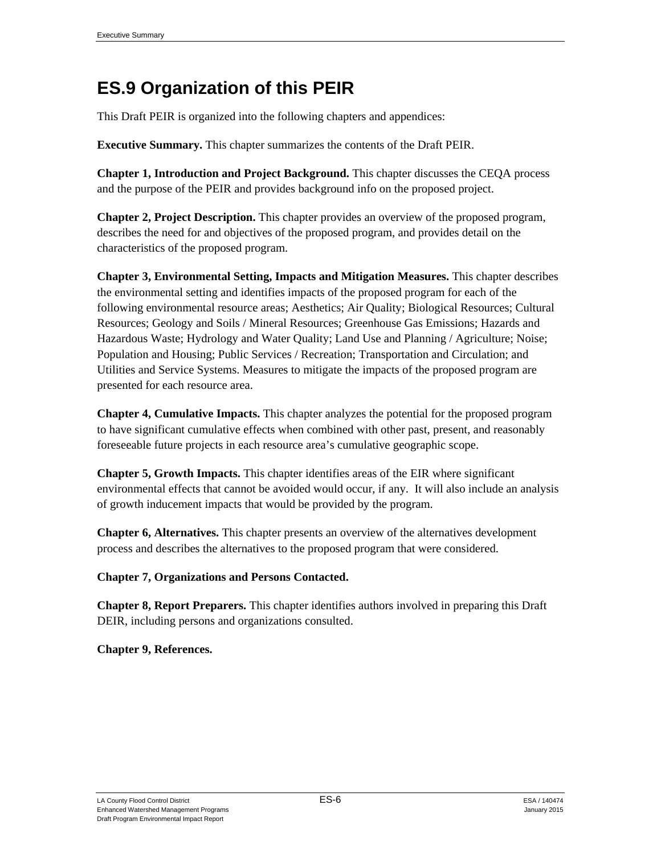### **ES.9 Organization of this PEIR**

This Draft PEIR is organized into the following chapters and appendices:

**Executive Summary.** This chapter summarizes the contents of the Draft PEIR.

**Chapter 1, Introduction and Project Background.** This chapter discusses the CEQA process and the purpose of the PEIR and provides background info on the proposed project.

**Chapter 2, Project Description.** This chapter provides an overview of the proposed program, describes the need for and objectives of the proposed program, and provides detail on the characteristics of the proposed program.

**Chapter 3, Environmental Setting, Impacts and Mitigation Measures.** This chapter describes the environmental setting and identifies impacts of the proposed program for each of the following environmental resource areas; Aesthetics; Air Quality; Biological Resources; Cultural Resources; Geology and Soils / Mineral Resources; Greenhouse Gas Emissions; Hazards and Hazardous Waste; Hydrology and Water Quality; Land Use and Planning / Agriculture; Noise; Population and Housing; Public Services / Recreation; Transportation and Circulation; and Utilities and Service Systems. Measures to mitigate the impacts of the proposed program are presented for each resource area.

**Chapter 4, Cumulative Impacts.** This chapter analyzes the potential for the proposed program to have significant cumulative effects when combined with other past, present, and reasonably foreseeable future projects in each resource area's cumulative geographic scope.

**Chapter 5, Growth Impacts.** This chapter identifies areas of the EIR where significant environmental effects that cannot be avoided would occur, if any. It will also include an analysis of growth inducement impacts that would be provided by the program.

**Chapter 6, Alternatives.** This chapter presents an overview of the alternatives development process and describes the alternatives to the proposed program that were considered.

### **Chapter 7, Organizations and Persons Contacted.**

**Chapter 8, Report Preparers.** This chapter identifies authors involved in preparing this Draft DEIR, including persons and organizations consulted.

### **Chapter 9, References.**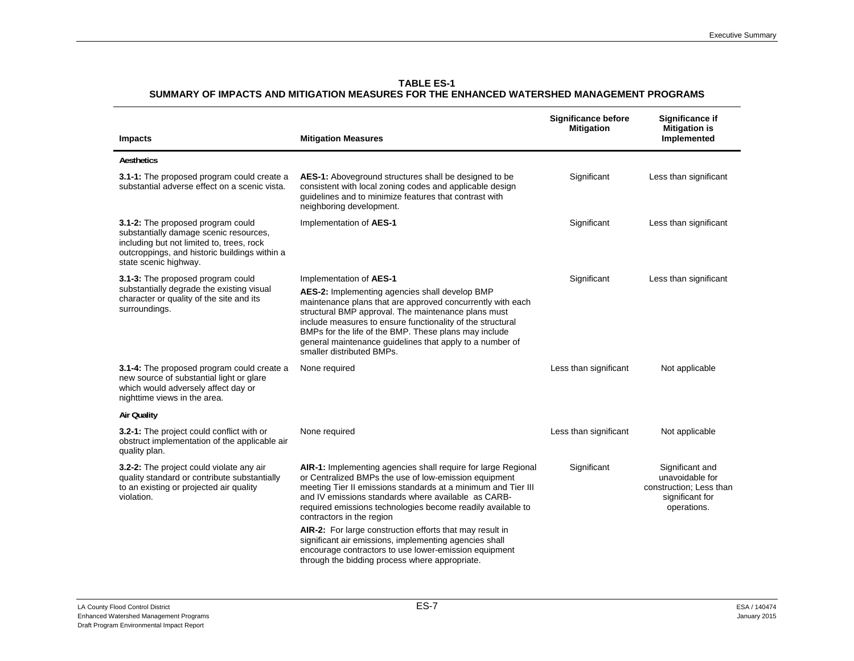|                                                                                                                                                                                                    |                                                                                                                                                                                                                                                                                                                                                                                     | <b>Significance before</b><br><b>Mitigation</b> | Significance if<br><b>Mitigation is</b>                                                         |
|----------------------------------------------------------------------------------------------------------------------------------------------------------------------------------------------------|-------------------------------------------------------------------------------------------------------------------------------------------------------------------------------------------------------------------------------------------------------------------------------------------------------------------------------------------------------------------------------------|-------------------------------------------------|-------------------------------------------------------------------------------------------------|
| <b>Impacts</b>                                                                                                                                                                                     | <b>Mitigation Measures</b>                                                                                                                                                                                                                                                                                                                                                          |                                                 | Implemented                                                                                     |
| Aesthetics                                                                                                                                                                                         |                                                                                                                                                                                                                                                                                                                                                                                     |                                                 |                                                                                                 |
| 3.1-1: The proposed program could create a<br>substantial adverse effect on a scenic vista.                                                                                                        | AES-1: Aboveground structures shall be designed to be<br>consistent with local zoning codes and applicable design<br>guidelines and to minimize features that contrast with<br>neighboring development.                                                                                                                                                                             | Significant                                     | Less than significant                                                                           |
| 3.1-2: The proposed program could<br>substantially damage scenic resources,<br>including but not limited to, trees, rock<br>outcroppings, and historic buildings within a<br>state scenic highway. | Implementation of AES-1                                                                                                                                                                                                                                                                                                                                                             | Significant                                     | Less than significant                                                                           |
| 3.1-3: The proposed program could                                                                                                                                                                  | Implementation of AES-1                                                                                                                                                                                                                                                                                                                                                             | Significant                                     | Less than significant                                                                           |
| substantially degrade the existing visual<br>character or quality of the site and its<br>surroundings.                                                                                             | AES-2: Implementing agencies shall develop BMP<br>maintenance plans that are approved concurrently with each<br>structural BMP approval. The maintenance plans must<br>include measures to ensure functionality of the structural<br>BMPs for the life of the BMP. These plans may include<br>general maintenance guidelines that apply to a number of<br>smaller distributed BMPs. |                                                 |                                                                                                 |
| 3.1-4: The proposed program could create a<br>new source of substantial light or glare<br>which would adversely affect day or<br>nighttime views in the area.                                      | None required                                                                                                                                                                                                                                                                                                                                                                       | Less than significant                           | Not applicable                                                                                  |
| <b>Air Quality</b>                                                                                                                                                                                 |                                                                                                                                                                                                                                                                                                                                                                                     |                                                 |                                                                                                 |
| 3.2-1: The project could conflict with or<br>obstruct implementation of the applicable air<br>quality plan.                                                                                        | None required                                                                                                                                                                                                                                                                                                                                                                       | Less than significant                           | Not applicable                                                                                  |
| 3.2-2: The project could violate any air<br>quality standard or contribute substantially<br>to an existing or projected air quality<br>violation.                                                  | AIR-1: Implementing agencies shall require for large Regional<br>or Centralized BMPs the use of low-emission equipment<br>meeting Tier II emissions standards at a minimum and Tier III<br>and IV emissions standards where available as CARB-<br>required emissions technologies become readily available to<br>contractors in the region                                          | Significant                                     | Significant and<br>unavoidable for<br>construction; Less than<br>significant for<br>operations. |
|                                                                                                                                                                                                    | AIR-2: For large construction efforts that may result in<br>significant air emissions, implementing agencies shall<br>encourage contractors to use lower-emission equipment<br>through the bidding process where appropriate.                                                                                                                                                       |                                                 |                                                                                                 |

#### **TABLE ES-1 SUMMARY OF IMPACTS AND MITIGATION MEASURES FOR THE ENHANCED WATERSHED MANAGEMENT PROGRAMS**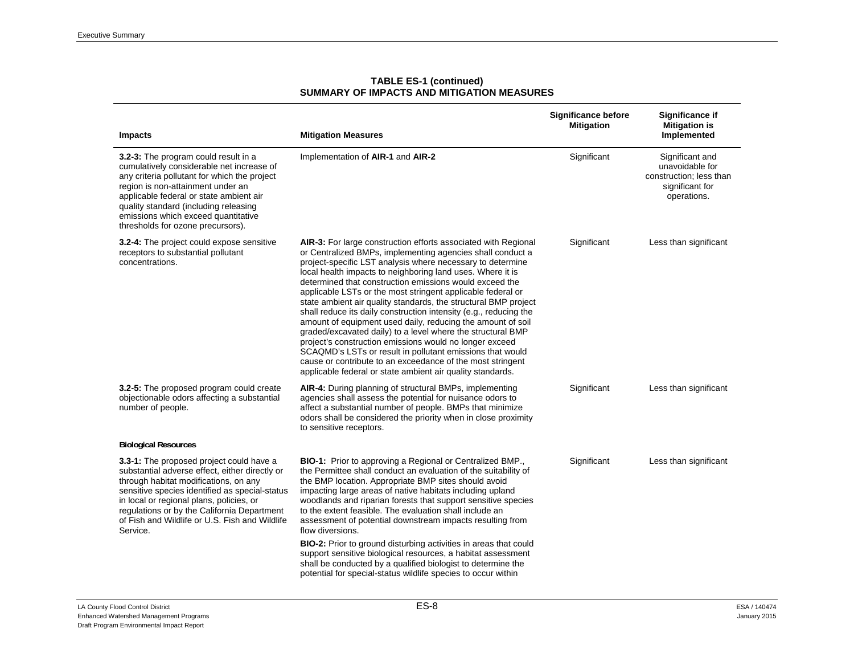| <b>Impacts</b>                                                                                                                                                                                                                                                                                                                                 | <b>Mitigation Measures</b>                                                                                                                                                                                                                                                                                                                                                                                                                                                                                                                                                                                                                                                                                                                                                                                                                                                                                   | <b>Significance before</b><br><b>Mitigation</b> | Significance if<br><b>Mitigation is</b><br>Implemented                                          |
|------------------------------------------------------------------------------------------------------------------------------------------------------------------------------------------------------------------------------------------------------------------------------------------------------------------------------------------------|--------------------------------------------------------------------------------------------------------------------------------------------------------------------------------------------------------------------------------------------------------------------------------------------------------------------------------------------------------------------------------------------------------------------------------------------------------------------------------------------------------------------------------------------------------------------------------------------------------------------------------------------------------------------------------------------------------------------------------------------------------------------------------------------------------------------------------------------------------------------------------------------------------------|-------------------------------------------------|-------------------------------------------------------------------------------------------------|
| 3.2-3: The program could result in a<br>cumulatively considerable net increase of<br>any criteria pollutant for which the project<br>region is non-attainment under an<br>applicable federal or state ambient air<br>quality standard (including releasing<br>emissions which exceed quantitative<br>thresholds for ozone precursors).         | Implementation of AIR-1 and AIR-2                                                                                                                                                                                                                                                                                                                                                                                                                                                                                                                                                                                                                                                                                                                                                                                                                                                                            | Significant                                     | Significant and<br>unavoidable for<br>construction: less than<br>significant for<br>operations. |
| 3.2-4: The project could expose sensitive<br>receptors to substantial pollutant<br>concentrations.                                                                                                                                                                                                                                             | AIR-3: For large construction efforts associated with Regional<br>or Centralized BMPs, implementing agencies shall conduct a<br>project-specific LST analysis where necessary to determine<br>local health impacts to neighboring land uses. Where it is<br>determined that construction emissions would exceed the<br>applicable LSTs or the most stringent applicable federal or<br>state ambient air quality standards, the structural BMP project<br>shall reduce its daily construction intensity (e.g., reducing the<br>amount of equipment used daily, reducing the amount of soil<br>graded/excavated daily) to a level where the structural BMP<br>project's construction emissions would no longer exceed<br>SCAQMD's LSTs or result in pollutant emissions that would<br>cause or contribute to an exceedance of the most stringent<br>applicable federal or state ambient air quality standards. | Significant                                     | Less than significant                                                                           |
| 3.2-5: The proposed program could create<br>objectionable odors affecting a substantial<br>number of people.                                                                                                                                                                                                                                   | AIR-4: During planning of structural BMPs, implementing<br>agencies shall assess the potential for nuisance odors to<br>affect a substantial number of people. BMPs that minimize<br>odors shall be considered the priority when in close proximity<br>to sensitive receptors.                                                                                                                                                                                                                                                                                                                                                                                                                                                                                                                                                                                                                               | Significant                                     | Less than significant                                                                           |
| <b>Biological Resources</b>                                                                                                                                                                                                                                                                                                                    |                                                                                                                                                                                                                                                                                                                                                                                                                                                                                                                                                                                                                                                                                                                                                                                                                                                                                                              |                                                 |                                                                                                 |
| 3.3-1: The proposed project could have a<br>substantial adverse effect, either directly or<br>through habitat modifications, on any<br>sensitive species identified as special-status<br>in local or regional plans, policies, or<br>regulations or by the California Department<br>of Fish and Wildlife or U.S. Fish and Wildlife<br>Service. | BIO-1: Prior to approving a Regional or Centralized BMP.,<br>the Permittee shall conduct an evaluation of the suitability of<br>the BMP location. Appropriate BMP sites should avoid<br>impacting large areas of native habitats including upland<br>woodlands and riparian forests that support sensitive species<br>to the extent feasible. The evaluation shall include an<br>assessment of potential downstream impacts resulting from<br>flow diversions.<br><b>BIO-2:</b> Prior to ground disturbing activities in areas that could<br>support sensitive biological resources, a habitat assessment<br>shall be conducted by a qualified biologist to determine the<br>potential for special-status wildlife species to occur within                                                                                                                                                                   | Significant                                     | Less than significant                                                                           |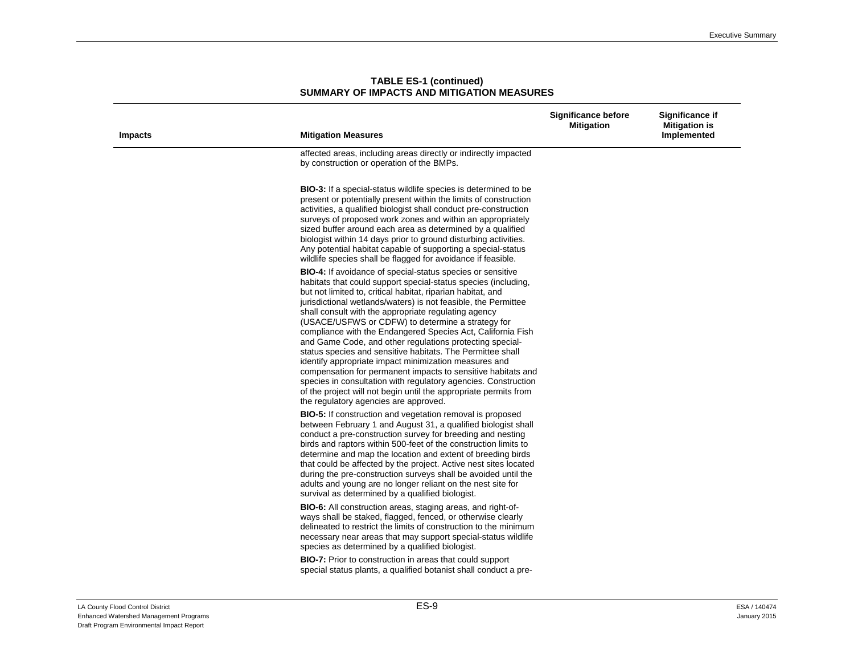|                |                                                                                                                                                                                                                                                                                                                                                                                                                                                                                                                                                                                                                                                                                                                                                                                                                                                                                    | <b>Significance before</b><br><b>Mitigation</b> | Significance if<br><b>Mitigation is</b> |
|----------------|------------------------------------------------------------------------------------------------------------------------------------------------------------------------------------------------------------------------------------------------------------------------------------------------------------------------------------------------------------------------------------------------------------------------------------------------------------------------------------------------------------------------------------------------------------------------------------------------------------------------------------------------------------------------------------------------------------------------------------------------------------------------------------------------------------------------------------------------------------------------------------|-------------------------------------------------|-----------------------------------------|
| <b>Impacts</b> | <b>Mitigation Measures</b>                                                                                                                                                                                                                                                                                                                                                                                                                                                                                                                                                                                                                                                                                                                                                                                                                                                         |                                                 | Implemented                             |
|                | affected areas, including areas directly or indirectly impacted<br>by construction or operation of the BMPs.                                                                                                                                                                                                                                                                                                                                                                                                                                                                                                                                                                                                                                                                                                                                                                       |                                                 |                                         |
|                | <b>BIO-3:</b> If a special-status wildlife species is determined to be<br>present or potentially present within the limits of construction<br>activities, a qualified biologist shall conduct pre-construction<br>surveys of proposed work zones and within an appropriately<br>sized buffer around each area as determined by a qualified<br>biologist within 14 days prior to ground disturbing activities.<br>Any potential habitat capable of supporting a special-status<br>wildlife species shall be flagged for avoidance if feasible.                                                                                                                                                                                                                                                                                                                                      |                                                 |                                         |
|                | <b>BIO-4:</b> If avoidance of special-status species or sensitive<br>habitats that could support special-status species (including,<br>but not limited to, critical habitat, riparian habitat, and<br>jurisdictional wetlands/waters) is not feasible, the Permittee<br>shall consult with the appropriate regulating agency<br>(USACE/USFWS or CDFW) to determine a strategy for<br>compliance with the Endangered Species Act, California Fish<br>and Game Code, and other regulations protecting special-<br>status species and sensitive habitats. The Permittee shall<br>identify appropriate impact minimization measures and<br>compensation for permanent impacts to sensitive habitats and<br>species in consultation with regulatory agencies. Construction<br>of the project will not begin until the appropriate permits from<br>the regulatory agencies are approved. |                                                 |                                         |
|                | <b>BIO-5:</b> If construction and vegetation removal is proposed<br>between February 1 and August 31, a qualified biologist shall<br>conduct a pre-construction survey for breeding and nesting<br>birds and raptors within 500-feet of the construction limits to<br>determine and map the location and extent of breeding birds<br>that could be affected by the project. Active nest sites located<br>during the pre-construction surveys shall be avoided until the<br>adults and young are no longer reliant on the nest site for<br>survival as determined by a qualified biologist.                                                                                                                                                                                                                                                                                         |                                                 |                                         |
|                | BIO-6: All construction areas, staging areas, and right-of-<br>ways shall be staked, flagged, fenced, or otherwise clearly<br>delineated to restrict the limits of construction to the minimum<br>necessary near areas that may support special-status wildlife<br>species as determined by a qualified biologist.                                                                                                                                                                                                                                                                                                                                                                                                                                                                                                                                                                 |                                                 |                                         |
|                | <b>BIO-7:</b> Prior to construction in areas that could support<br>special status plants, a qualified botanist shall conduct a pre-                                                                                                                                                                                                                                                                                                                                                                                                                                                                                                                                                                                                                                                                                                                                                |                                                 |                                         |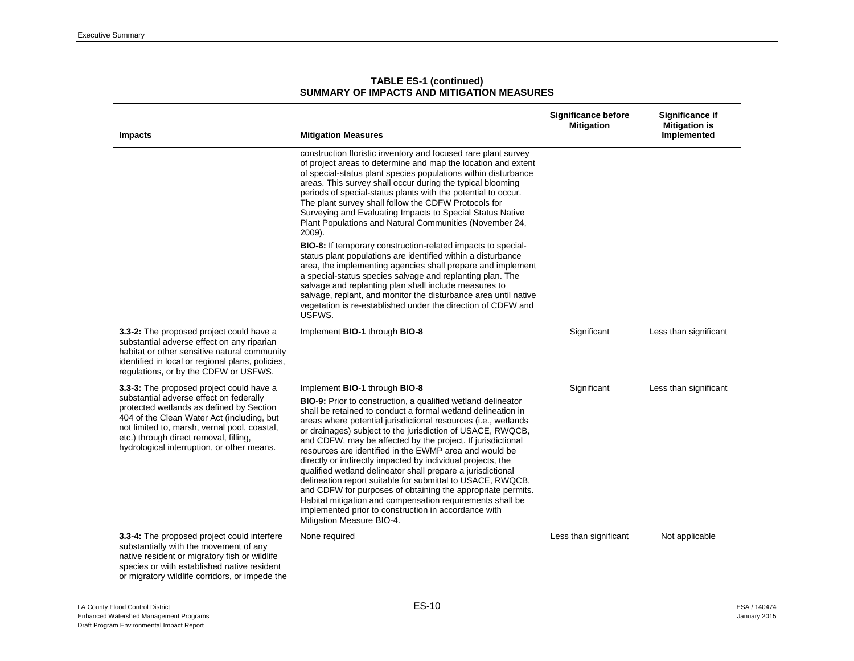| <b>Impacts</b>                                                                                                                                                                                                                                                                                                        | <b>Mitigation Measures</b>                                                                                                                                                                                                                                                                                                                                                                                                                                                                                                                                                                                                                                                                                                                                                                                                                 | <b>Significance before</b><br><b>Mitigation</b> | Significance if<br><b>Mitigation is</b><br>Implemented |
|-----------------------------------------------------------------------------------------------------------------------------------------------------------------------------------------------------------------------------------------------------------------------------------------------------------------------|--------------------------------------------------------------------------------------------------------------------------------------------------------------------------------------------------------------------------------------------------------------------------------------------------------------------------------------------------------------------------------------------------------------------------------------------------------------------------------------------------------------------------------------------------------------------------------------------------------------------------------------------------------------------------------------------------------------------------------------------------------------------------------------------------------------------------------------------|-------------------------------------------------|--------------------------------------------------------|
|                                                                                                                                                                                                                                                                                                                       | construction floristic inventory and focused rare plant survey<br>of project areas to determine and map the location and extent<br>of special-status plant species populations within disturbance<br>areas. This survey shall occur during the typical blooming<br>periods of special-status plants with the potential to occur.<br>The plant survey shall follow the CDFW Protocols for<br>Surveying and Evaluating Impacts to Special Status Native<br>Plant Populations and Natural Communities (November 24,<br>2009).                                                                                                                                                                                                                                                                                                                 |                                                 |                                                        |
|                                                                                                                                                                                                                                                                                                                       | BIO-8: If temporary construction-related impacts to special-<br>status plant populations are identified within a disturbance<br>area, the implementing agencies shall prepare and implement<br>a special-status species salvage and replanting plan. The<br>salvage and replanting plan shall include measures to<br>salvage, replant, and monitor the disturbance area until native<br>vegetation is re-established under the direction of CDFW and<br>USFWS.                                                                                                                                                                                                                                                                                                                                                                             |                                                 |                                                        |
| 3.3-2: The proposed project could have a<br>substantial adverse effect on any riparian<br>habitat or other sensitive natural community<br>identified in local or regional plans, policies,<br>regulations, or by the CDFW or USFWS.                                                                                   | Implement BIO-1 through BIO-8                                                                                                                                                                                                                                                                                                                                                                                                                                                                                                                                                                                                                                                                                                                                                                                                              | Significant                                     | Less than significant                                  |
| 3.3-3: The proposed project could have a<br>substantial adverse effect on federally<br>protected wetlands as defined by Section<br>404 of the Clean Water Act (including, but<br>not limited to, marsh, vernal pool, coastal,<br>etc.) through direct removal, filling,<br>hydrological interruption, or other means. | Implement BIO-1 through BIO-8<br><b>BIO-9:</b> Prior to construction, a qualified wetland delineator<br>shall be retained to conduct a formal wetland delineation in<br>areas where potential jurisdictional resources (i.e., wetlands<br>or drainages) subject to the jurisdiction of USACE, RWQCB,<br>and CDFW, may be affected by the project. If jurisdictional<br>resources are identified in the EWMP area and would be<br>directly or indirectly impacted by individual projects, the<br>qualified wetland delineator shall prepare a jurisdictional<br>delineation report suitable for submittal to USACE, RWQCB,<br>and CDFW for purposes of obtaining the appropriate permits.<br>Habitat mitigation and compensation requirements shall be<br>implemented prior to construction in accordance with<br>Mitigation Measure BIO-4. | Significant                                     | Less than significant                                  |
| 3.3-4: The proposed project could interfere<br>substantially with the movement of any<br>native resident or migratory fish or wildlife<br>species or with established native resident<br>or migratory wildlife corridors, or impede the                                                                               | None required                                                                                                                                                                                                                                                                                                                                                                                                                                                                                                                                                                                                                                                                                                                                                                                                                              | Less than significant                           | Not applicable                                         |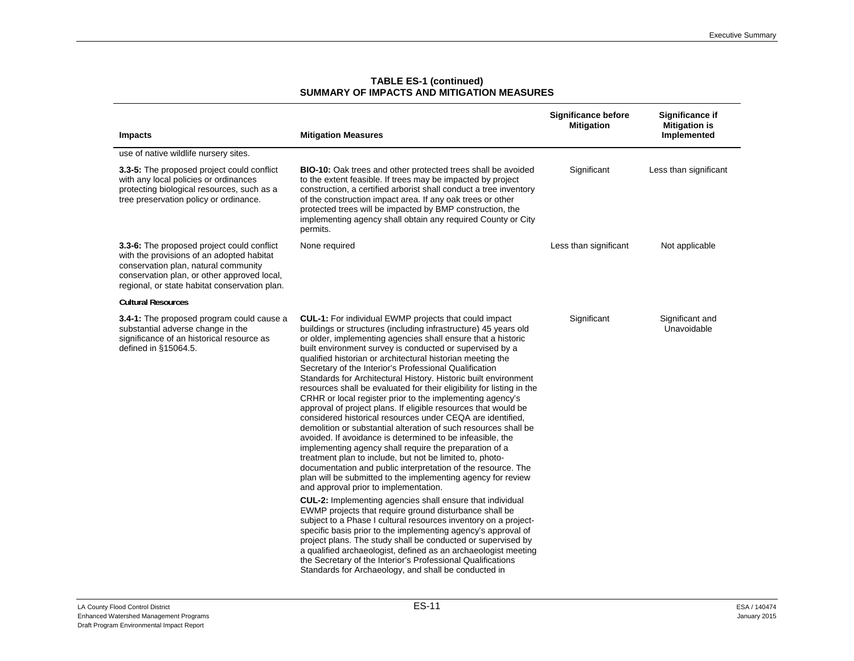|                                                                                                                                                                                                                                 |                                                                                                                                                                                                                                                                                                                                                                                                                                                                                                                                                                                                                                                                                                                                                                                                                                                                                                                                                                                                                                                                                                                                                                                                                                                                                                                                                                                                                                                                                                                                                                                                                                                                                        | <b>Significance before</b><br><b>Mitigation</b> | Significance if<br><b>Mitigation is</b> |
|---------------------------------------------------------------------------------------------------------------------------------------------------------------------------------------------------------------------------------|----------------------------------------------------------------------------------------------------------------------------------------------------------------------------------------------------------------------------------------------------------------------------------------------------------------------------------------------------------------------------------------------------------------------------------------------------------------------------------------------------------------------------------------------------------------------------------------------------------------------------------------------------------------------------------------------------------------------------------------------------------------------------------------------------------------------------------------------------------------------------------------------------------------------------------------------------------------------------------------------------------------------------------------------------------------------------------------------------------------------------------------------------------------------------------------------------------------------------------------------------------------------------------------------------------------------------------------------------------------------------------------------------------------------------------------------------------------------------------------------------------------------------------------------------------------------------------------------------------------------------------------------------------------------------------------|-------------------------------------------------|-----------------------------------------|
| <b>Impacts</b>                                                                                                                                                                                                                  | <b>Mitigation Measures</b>                                                                                                                                                                                                                                                                                                                                                                                                                                                                                                                                                                                                                                                                                                                                                                                                                                                                                                                                                                                                                                                                                                                                                                                                                                                                                                                                                                                                                                                                                                                                                                                                                                                             |                                                 | Implemented                             |
| use of native wildlife nursery sites.                                                                                                                                                                                           |                                                                                                                                                                                                                                                                                                                                                                                                                                                                                                                                                                                                                                                                                                                                                                                                                                                                                                                                                                                                                                                                                                                                                                                                                                                                                                                                                                                                                                                                                                                                                                                                                                                                                        |                                                 |                                         |
| 3.3-5: The proposed project could conflict<br>with any local policies or ordinances<br>protecting biological resources, such as a<br>tree preservation policy or ordinance.                                                     | <b>BIO-10:</b> Oak trees and other protected trees shall be avoided<br>to the extent feasible. If trees may be impacted by project<br>construction, a certified arborist shall conduct a tree inventory<br>of the construction impact area. If any oak trees or other<br>protected trees will be impacted by BMP construction, the<br>implementing agency shall obtain any required County or City<br>permits.                                                                                                                                                                                                                                                                                                                                                                                                                                                                                                                                                                                                                                                                                                                                                                                                                                                                                                                                                                                                                                                                                                                                                                                                                                                                         | Significant                                     | Less than significant                   |
| 3.3-6: The proposed project could conflict<br>with the provisions of an adopted habitat<br>conservation plan, natural community<br>conservation plan, or other approved local,<br>regional, or state habitat conservation plan. | None required                                                                                                                                                                                                                                                                                                                                                                                                                                                                                                                                                                                                                                                                                                                                                                                                                                                                                                                                                                                                                                                                                                                                                                                                                                                                                                                                                                                                                                                                                                                                                                                                                                                                          | Less than significant                           | Not applicable                          |
| <b>Cultural Resources</b>                                                                                                                                                                                                       |                                                                                                                                                                                                                                                                                                                                                                                                                                                                                                                                                                                                                                                                                                                                                                                                                                                                                                                                                                                                                                                                                                                                                                                                                                                                                                                                                                                                                                                                                                                                                                                                                                                                                        |                                                 |                                         |
| 3.4-1: The proposed program could cause a<br>substantial adverse change in the<br>significance of an historical resource as<br>defined in §15064.5.                                                                             | <b>CUL-1:</b> For individual EWMP projects that could impact<br>buildings or structures (including infrastructure) 45 years old<br>or older, implementing agencies shall ensure that a historic<br>built environment survey is conducted or supervised by a<br>qualified historian or architectural historian meeting the<br>Secretary of the Interior's Professional Qualification<br>Standards for Architectural History. Historic built environment<br>resources shall be evaluated for their eligibility for listing in the<br>CRHR or local register prior to the implementing agency's<br>approval of project plans. If eligible resources that would be<br>considered historical resources under CEQA are identified.<br>demolition or substantial alteration of such resources shall be<br>avoided. If avoidance is determined to be infeasible, the<br>implementing agency shall require the preparation of a<br>treatment plan to include, but not be limited to, photo-<br>documentation and public interpretation of the resource. The<br>plan will be submitted to the implementing agency for review<br>and approval prior to implementation.<br><b>CUL-2:</b> Implementing agencies shall ensure that individual<br>EWMP projects that require ground disturbance shall be<br>subject to a Phase I cultural resources inventory on a project-<br>specific basis prior to the implementing agency's approval of<br>project plans. The study shall be conducted or supervised by<br>a qualified archaeologist, defined as an archaeologist meeting<br>the Secretary of the Interior's Professional Qualifications<br>Standards for Archaeology, and shall be conducted in | Significant                                     | Significant and<br>Unavoidable          |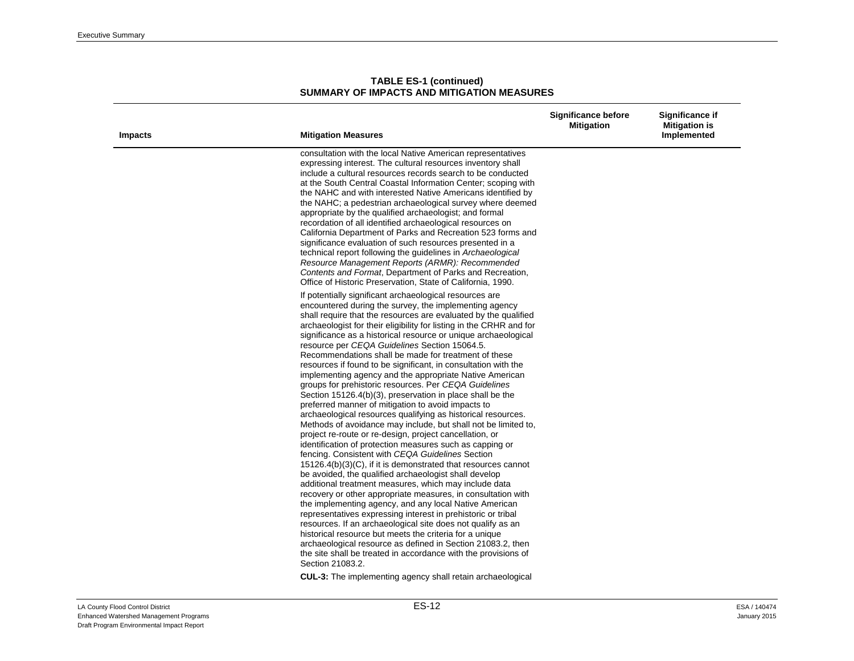| <b>Impacts</b> | <b>Mitigation Measures</b>                                                                                                                                                                                                                                                                                                                                                                                                                                                                                                                                                                                                                                                                                                                                                                                                                                                                                                                                                                                                                                                                                                                                                                                                                                                                                                                                                                                                                                                                                                                                                                                                                                                                                               | <b>Significance before</b><br><b>Mitigation</b> | <b>Significance if</b><br><b>Mitigation is</b><br>Implemented |
|----------------|--------------------------------------------------------------------------------------------------------------------------------------------------------------------------------------------------------------------------------------------------------------------------------------------------------------------------------------------------------------------------------------------------------------------------------------------------------------------------------------------------------------------------------------------------------------------------------------------------------------------------------------------------------------------------------------------------------------------------------------------------------------------------------------------------------------------------------------------------------------------------------------------------------------------------------------------------------------------------------------------------------------------------------------------------------------------------------------------------------------------------------------------------------------------------------------------------------------------------------------------------------------------------------------------------------------------------------------------------------------------------------------------------------------------------------------------------------------------------------------------------------------------------------------------------------------------------------------------------------------------------------------------------------------------------------------------------------------------------|-------------------------------------------------|---------------------------------------------------------------|
|                | consultation with the local Native American representatives<br>expressing interest. The cultural resources inventory shall<br>include a cultural resources records search to be conducted<br>at the South Central Coastal Information Center; scoping with<br>the NAHC and with interested Native Americans identified by<br>the NAHC; a pedestrian archaeological survey where deemed<br>appropriate by the qualified archaeologist; and formal<br>recordation of all identified archaeological resources on<br>California Department of Parks and Recreation 523 forms and<br>significance evaluation of such resources presented in a<br>technical report following the guidelines in Archaeological<br>Resource Management Reports (ARMR): Recommended<br>Contents and Format, Department of Parks and Recreation,<br>Office of Historic Preservation, State of California, 1990.                                                                                                                                                                                                                                                                                                                                                                                                                                                                                                                                                                                                                                                                                                                                                                                                                                    |                                                 |                                                               |
|                | If potentially significant archaeological resources are<br>encountered during the survey, the implementing agency<br>shall require that the resources are evaluated by the qualified<br>archaeologist for their eligibility for listing in the CRHR and for<br>significance as a historical resource or unique archaeological<br>resource per CEQA Guidelines Section 15064.5.<br>Recommendations shall be made for treatment of these<br>resources if found to be significant, in consultation with the<br>implementing agency and the appropriate Native American<br>groups for prehistoric resources. Per CEQA Guidelines<br>Section 15126.4(b)(3), preservation in place shall be the<br>preferred manner of mitigation to avoid impacts to<br>archaeological resources qualifying as historical resources.<br>Methods of avoidance may include, but shall not be limited to,<br>project re-route or re-design, project cancellation, or<br>identification of protection measures such as capping or<br>fencing. Consistent with CEQA Guidelines Section<br>15126.4(b)(3)(C), if it is demonstrated that resources cannot<br>be avoided, the qualified archaeologist shall develop<br>additional treatment measures, which may include data<br>recovery or other appropriate measures, in consultation with<br>the implementing agency, and any local Native American<br>representatives expressing interest in prehistoric or tribal<br>resources. If an archaeological site does not qualify as an<br>historical resource but meets the criteria for a unique<br>archaeological resource as defined in Section 21083.2, then<br>the site shall be treated in accordance with the provisions of<br>Section 21083.2. |                                                 |                                                               |
|                |                                                                                                                                                                                                                                                                                                                                                                                                                                                                                                                                                                                                                                                                                                                                                                                                                                                                                                                                                                                                                                                                                                                                                                                                                                                                                                                                                                                                                                                                                                                                                                                                                                                                                                                          |                                                 |                                                               |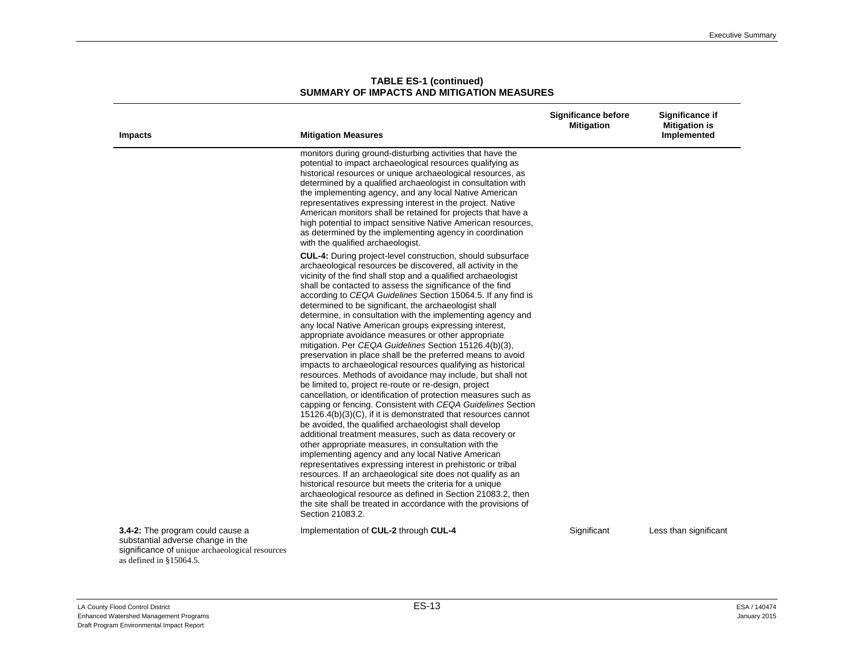|                                                                                                                                                        |                                                                                                                                                                                                                                                                                                                                                                                                                                                                                                                                                                                                                                                                                                                                                                                                                                                                                                                                                                                                                                                                                                                                                                                                                                                                                                                                                                                                                                                                                                                                                                                                                                                                              | <b>Significance before</b><br><b>Mitigation</b> | Significance if<br><b>Mitigation is</b><br>Implemented |
|--------------------------------------------------------------------------------------------------------------------------------------------------------|------------------------------------------------------------------------------------------------------------------------------------------------------------------------------------------------------------------------------------------------------------------------------------------------------------------------------------------------------------------------------------------------------------------------------------------------------------------------------------------------------------------------------------------------------------------------------------------------------------------------------------------------------------------------------------------------------------------------------------------------------------------------------------------------------------------------------------------------------------------------------------------------------------------------------------------------------------------------------------------------------------------------------------------------------------------------------------------------------------------------------------------------------------------------------------------------------------------------------------------------------------------------------------------------------------------------------------------------------------------------------------------------------------------------------------------------------------------------------------------------------------------------------------------------------------------------------------------------------------------------------------------------------------------------------|-------------------------------------------------|--------------------------------------------------------|
| <b>Impacts</b>                                                                                                                                         | <b>Mitigation Measures</b>                                                                                                                                                                                                                                                                                                                                                                                                                                                                                                                                                                                                                                                                                                                                                                                                                                                                                                                                                                                                                                                                                                                                                                                                                                                                                                                                                                                                                                                                                                                                                                                                                                                   |                                                 |                                                        |
|                                                                                                                                                        | monitors during ground-disturbing activities that have the<br>potential to impact archaeological resources qualifying as<br>historical resources or unique archaeological resources, as<br>determined by a qualified archaeologist in consultation with<br>the implementing agency, and any local Native American<br>representatives expressing interest in the project. Native<br>American monitors shall be retained for projects that have a<br>high potential to impact sensitive Native American resources,<br>as determined by the implementing agency in coordination<br>with the qualified archaeologist.                                                                                                                                                                                                                                                                                                                                                                                                                                                                                                                                                                                                                                                                                                                                                                                                                                                                                                                                                                                                                                                            |                                                 |                                                        |
|                                                                                                                                                        | <b>CUL-4:</b> During project-level construction, should subsurface<br>archaeological resources be discovered, all activity in the<br>vicinity of the find shall stop and a qualified archaeologist<br>shall be contacted to assess the significance of the find<br>according to CEQA Guidelines Section 15064.5. If any find is<br>determined to be significant, the archaeologist shall<br>determine, in consultation with the implementing agency and<br>any local Native American groups expressing interest,<br>appropriate avoidance measures or other appropriate<br>mitigation. Per CEQA Guidelines Section 15126.4(b)(3),<br>preservation in place shall be the preferred means to avoid<br>impacts to archaeological resources qualifying as historical<br>resources. Methods of avoidance may include, but shall not<br>be limited to, project re-route or re-design, project<br>cancellation, or identification of protection measures such as<br>capping or fencing. Consistent with CEQA Guidelines Section<br>$15126.4(b)(3)(C)$ , if it is demonstrated that resources cannot<br>be avoided, the qualified archaeologist shall develop<br>additional treatment measures, such as data recovery or<br>other appropriate measures, in consultation with the<br>implementing agency and any local Native American<br>representatives expressing interest in prehistoric or tribal<br>resources. If an archaeological site does not qualify as an<br>historical resource but meets the criteria for a unique<br>archaeological resource as defined in Section 21083.2, then<br>the site shall be treated in accordance with the provisions of<br>Section 21083.2. |                                                 |                                                        |
| 3.4-2: The program could cause a<br>substantial adverse change in the<br>significance of unique archaeological resources<br>as defined in $§15064.5$ . | Implementation of CUL-2 through CUL-4                                                                                                                                                                                                                                                                                                                                                                                                                                                                                                                                                                                                                                                                                                                                                                                                                                                                                                                                                                                                                                                                                                                                                                                                                                                                                                                                                                                                                                                                                                                                                                                                                                        | Significant                                     | Less than significant                                  |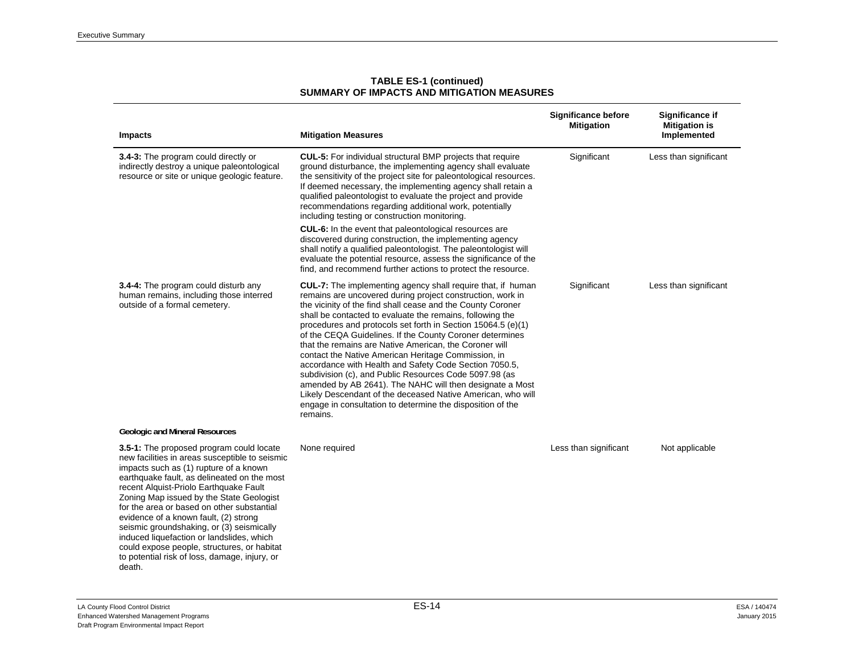|                                                                                                                                                                                                                                                                                                                                                                                                                                                                                                                                                                      | <b>Mitigation Measures</b>                                                                                                                                                                                                                                                                                                                                                                                                                                                                                                                                                                                                                                                                                                                                                                                                         | <b>Significance before</b><br><b>Mitigation</b> | Significance if<br><b>Mitigation is</b><br>Implemented |
|----------------------------------------------------------------------------------------------------------------------------------------------------------------------------------------------------------------------------------------------------------------------------------------------------------------------------------------------------------------------------------------------------------------------------------------------------------------------------------------------------------------------------------------------------------------------|------------------------------------------------------------------------------------------------------------------------------------------------------------------------------------------------------------------------------------------------------------------------------------------------------------------------------------------------------------------------------------------------------------------------------------------------------------------------------------------------------------------------------------------------------------------------------------------------------------------------------------------------------------------------------------------------------------------------------------------------------------------------------------------------------------------------------------|-------------------------------------------------|--------------------------------------------------------|
| <b>Impacts</b>                                                                                                                                                                                                                                                                                                                                                                                                                                                                                                                                                       |                                                                                                                                                                                                                                                                                                                                                                                                                                                                                                                                                                                                                                                                                                                                                                                                                                    |                                                 |                                                        |
| 3.4-3: The program could directly or<br>indirectly destroy a unique paleontological<br>resource or site or unique geologic feature.                                                                                                                                                                                                                                                                                                                                                                                                                                  | <b>CUL-5:</b> For individual structural BMP projects that require<br>ground disturbance, the implementing agency shall evaluate<br>the sensitivity of the project site for paleontological resources.<br>If deemed necessary, the implementing agency shall retain a<br>qualified paleontologist to evaluate the project and provide<br>recommendations regarding additional work, potentially<br>including testing or construction monitoring.                                                                                                                                                                                                                                                                                                                                                                                    | Significant                                     | Less than significant                                  |
|                                                                                                                                                                                                                                                                                                                                                                                                                                                                                                                                                                      | <b>CUL-6:</b> In the event that paleontological resources are<br>discovered during construction, the implementing agency<br>shall notify a qualified paleontologist. The paleontologist will<br>evaluate the potential resource, assess the significance of the<br>find, and recommend further actions to protect the resource.                                                                                                                                                                                                                                                                                                                                                                                                                                                                                                    |                                                 |                                                        |
| 3.4-4: The program could disturb any<br>human remains, including those interred<br>outside of a formal cemetery.                                                                                                                                                                                                                                                                                                                                                                                                                                                     | <b>CUL-7:</b> The implementing agency shall require that, if human<br>remains are uncovered during project construction, work in<br>the vicinity of the find shall cease and the County Coroner<br>shall be contacted to evaluate the remains, following the<br>procedures and protocols set forth in Section 15064.5 (e)(1)<br>of the CEQA Guidelines. If the County Coroner determines<br>that the remains are Native American, the Coroner will<br>contact the Native American Heritage Commission, in<br>accordance with Health and Safety Code Section 7050.5,<br>subdivision (c), and Public Resources Code 5097.98 (as<br>amended by AB 2641). The NAHC will then designate a Most<br>Likely Descendant of the deceased Native American, who will<br>engage in consultation to determine the disposition of the<br>remains. | Significant                                     | Less than significant                                  |
| <b>Geologic and Mineral Resources</b>                                                                                                                                                                                                                                                                                                                                                                                                                                                                                                                                |                                                                                                                                                                                                                                                                                                                                                                                                                                                                                                                                                                                                                                                                                                                                                                                                                                    |                                                 |                                                        |
| 3.5-1: The proposed program could locate<br>new facilities in areas susceptible to seismic<br>impacts such as (1) rupture of a known<br>earthquake fault, as delineated on the most<br>recent Alquist-Priolo Earthquake Fault<br>Zoning Map issued by the State Geologist<br>for the area or based on other substantial<br>evidence of a known fault, (2) strong<br>seismic groundshaking, or (3) seismically<br>induced liquefaction or landslides, which<br>could expose people, structures, or habitat<br>to potential risk of loss, damage, injury, or<br>death. | None required                                                                                                                                                                                                                                                                                                                                                                                                                                                                                                                                                                                                                                                                                                                                                                                                                      | Less than significant                           | Not applicable                                         |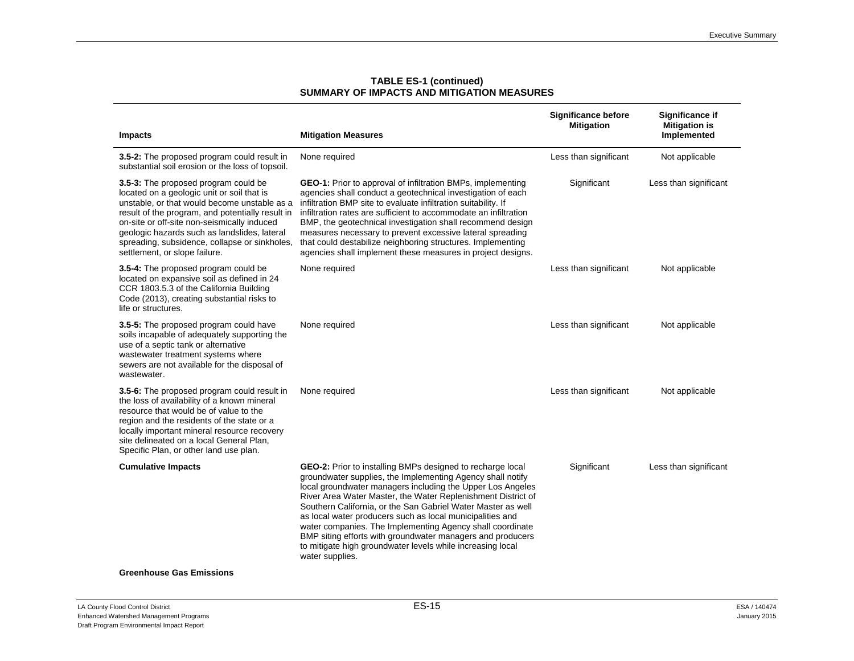| <b>Impacts</b>                                                                                                                                                                                                                                                                                                                                                          | <b>Mitigation Measures</b>                                                                                                                                                                                                                                                                                                                                                                                                                                                                                                                                                                      | <b>Significance before</b><br><b>Mitigation</b> | Significance if<br><b>Mitigation is</b><br>Implemented |
|-------------------------------------------------------------------------------------------------------------------------------------------------------------------------------------------------------------------------------------------------------------------------------------------------------------------------------------------------------------------------|-------------------------------------------------------------------------------------------------------------------------------------------------------------------------------------------------------------------------------------------------------------------------------------------------------------------------------------------------------------------------------------------------------------------------------------------------------------------------------------------------------------------------------------------------------------------------------------------------|-------------------------------------------------|--------------------------------------------------------|
| 3.5-2: The proposed program could result in<br>substantial soil erosion or the loss of topsoil.                                                                                                                                                                                                                                                                         | None required                                                                                                                                                                                                                                                                                                                                                                                                                                                                                                                                                                                   | Less than significant                           | Not applicable                                         |
| 3.5-3: The proposed program could be<br>located on a geologic unit or soil that is<br>unstable, or that would become unstable as a<br>result of the program, and potentially result in<br>on-site or off-site non-seismically induced<br>geologic hazards such as landslides, lateral<br>spreading, subsidence, collapse or sinkholes,<br>settlement, or slope failure. | <b>GEO-1:</b> Prior to approval of infiltration BMPs, implementing<br>agencies shall conduct a geotechnical investigation of each<br>infiltration BMP site to evaluate infiltration suitability. If<br>infiltration rates are sufficient to accommodate an infiltration<br>BMP, the geotechnical investigation shall recommend design<br>measures necessary to prevent excessive lateral spreading<br>that could destabilize neighboring structures. Implementing<br>agencies shall implement these measures in project designs.                                                                | Significant                                     | Less than significant                                  |
| 3.5-4: The proposed program could be<br>located on expansive soil as defined in 24<br>CCR 1803.5.3 of the California Building<br>Code (2013), creating substantial risks to<br>life or structures.                                                                                                                                                                      | None required                                                                                                                                                                                                                                                                                                                                                                                                                                                                                                                                                                                   | Less than significant                           | Not applicable                                         |
| 3.5-5: The proposed program could have<br>soils incapable of adequately supporting the<br>use of a septic tank or alternative<br>wastewater treatment systems where<br>sewers are not available for the disposal of<br>wastewater.                                                                                                                                      | None required                                                                                                                                                                                                                                                                                                                                                                                                                                                                                                                                                                                   | Less than significant                           | Not applicable                                         |
| 3.5-6: The proposed program could result in<br>the loss of availability of a known mineral<br>resource that would be of value to the<br>region and the residents of the state or a<br>locally important mineral resource recovery<br>site delineated on a local General Plan,<br>Specific Plan, or other land use plan.                                                 | None required                                                                                                                                                                                                                                                                                                                                                                                                                                                                                                                                                                                   | Less than significant                           | Not applicable                                         |
| <b>Cumulative Impacts</b>                                                                                                                                                                                                                                                                                                                                               | GEO-2: Prior to installing BMPs designed to recharge local<br>groundwater supplies, the Implementing Agency shall notify<br>local groundwater managers including the Upper Los Angeles<br>River Area Water Master, the Water Replenishment District of<br>Southern California, or the San Gabriel Water Master as well<br>as local water producers such as local municipalities and<br>water companies. The Implementing Agency shall coordinate<br>BMP siting efforts with groundwater managers and producers<br>to mitigate high groundwater levels while increasing local<br>water supplies. | Significant                                     | Less than significant                                  |

#### **Greenhouse Gas Emissions**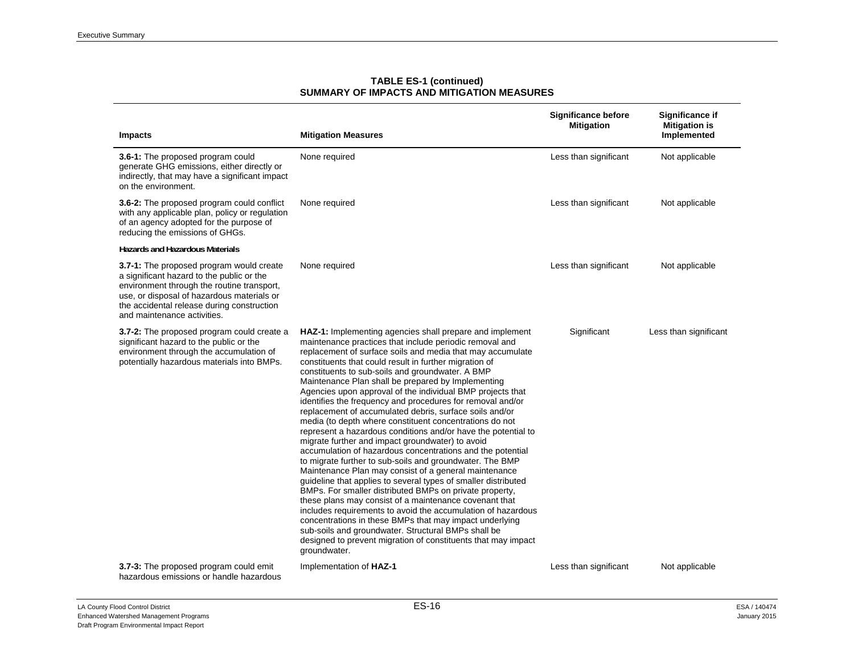|                                                                                                                                                                                                                                                                |                                                                                                                                                                                                                                                                                                                                                                                                                                                                                                                                                                                                                                                                                                                                                                                                                                                                                                                                                                                                                                                                                                                                                                                                                                                                                                                                                                           | <b>Significance before</b><br><b>Mitigation</b> | <b>Significance if</b><br><b>Mitigation is</b> |
|----------------------------------------------------------------------------------------------------------------------------------------------------------------------------------------------------------------------------------------------------------------|---------------------------------------------------------------------------------------------------------------------------------------------------------------------------------------------------------------------------------------------------------------------------------------------------------------------------------------------------------------------------------------------------------------------------------------------------------------------------------------------------------------------------------------------------------------------------------------------------------------------------------------------------------------------------------------------------------------------------------------------------------------------------------------------------------------------------------------------------------------------------------------------------------------------------------------------------------------------------------------------------------------------------------------------------------------------------------------------------------------------------------------------------------------------------------------------------------------------------------------------------------------------------------------------------------------------------------------------------------------------------|-------------------------------------------------|------------------------------------------------|
| <b>Impacts</b>                                                                                                                                                                                                                                                 | <b>Mitigation Measures</b>                                                                                                                                                                                                                                                                                                                                                                                                                                                                                                                                                                                                                                                                                                                                                                                                                                                                                                                                                                                                                                                                                                                                                                                                                                                                                                                                                |                                                 | Implemented                                    |
| 3.6-1: The proposed program could<br>generate GHG emissions, either directly or<br>indirectly, that may have a significant impact<br>on the environment.                                                                                                       | None required                                                                                                                                                                                                                                                                                                                                                                                                                                                                                                                                                                                                                                                                                                                                                                                                                                                                                                                                                                                                                                                                                                                                                                                                                                                                                                                                                             | Less than significant                           | Not applicable                                 |
| 3.6-2: The proposed program could conflict<br>with any applicable plan, policy or regulation<br>of an agency adopted for the purpose of<br>reducing the emissions of GHGs.                                                                                     | None required                                                                                                                                                                                                                                                                                                                                                                                                                                                                                                                                                                                                                                                                                                                                                                                                                                                                                                                                                                                                                                                                                                                                                                                                                                                                                                                                                             | Less than significant                           | Not applicable                                 |
| <b>Hazards and Hazardous Materials</b>                                                                                                                                                                                                                         |                                                                                                                                                                                                                                                                                                                                                                                                                                                                                                                                                                                                                                                                                                                                                                                                                                                                                                                                                                                                                                                                                                                                                                                                                                                                                                                                                                           |                                                 |                                                |
| 3.7-1: The proposed program would create<br>a significant hazard to the public or the<br>environment through the routine transport,<br>use, or disposal of hazardous materials or<br>the accidental release during construction<br>and maintenance activities. | None required                                                                                                                                                                                                                                                                                                                                                                                                                                                                                                                                                                                                                                                                                                                                                                                                                                                                                                                                                                                                                                                                                                                                                                                                                                                                                                                                                             | Less than significant                           | Not applicable                                 |
| <b>3.7-2:</b> The proposed program could create a<br>significant hazard to the public or the<br>environment through the accumulation of<br>potentially hazardous materials into BMPs.                                                                          | HAZ-1: Implementing agencies shall prepare and implement<br>maintenance practices that include periodic removal and<br>replacement of surface soils and media that may accumulate<br>constituents that could result in further migration of<br>constituents to sub-soils and groundwater. A BMP<br>Maintenance Plan shall be prepared by Implementing<br>Agencies upon approval of the individual BMP projects that<br>identifies the frequency and procedures for removal and/or<br>replacement of accumulated debris, surface soils and/or<br>media (to depth where constituent concentrations do not<br>represent a hazardous conditions and/or have the potential to<br>migrate further and impact groundwater) to avoid<br>accumulation of hazardous concentrations and the potential<br>to migrate further to sub-soils and groundwater. The BMP<br>Maintenance Plan may consist of a general maintenance<br>guideline that applies to several types of smaller distributed<br>BMPs. For smaller distributed BMPs on private property,<br>these plans may consist of a maintenance covenant that<br>includes requirements to avoid the accumulation of hazardous<br>concentrations in these BMPs that may impact underlying<br>sub-soils and groundwater. Structural BMPs shall be<br>designed to prevent migration of constituents that may impact<br>groundwater. | Significant                                     | Less than significant                          |
| 3.7-3: The proposed program could emit<br>hazardous emissions or handle hazardous                                                                                                                                                                              | Implementation of HAZ-1                                                                                                                                                                                                                                                                                                                                                                                                                                                                                                                                                                                                                                                                                                                                                                                                                                                                                                                                                                                                                                                                                                                                                                                                                                                                                                                                                   | Less than significant                           | Not applicable                                 |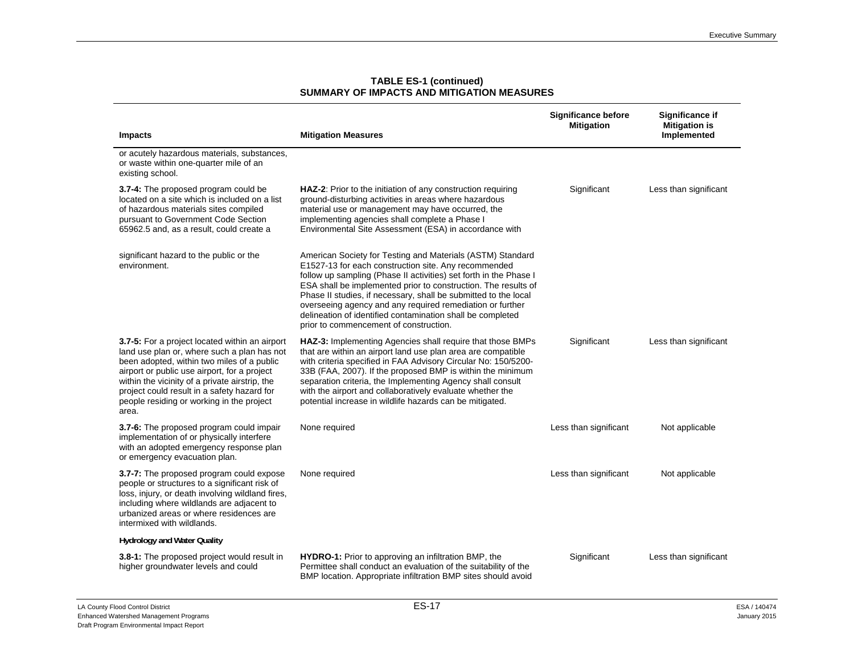|                                                                                                                                                                                                                                                                                                                                                    |                                                                                                                                                                                                                                                                                                                                                                                                                                                                                                   | <b>Significance before</b><br><b>Mitigation</b> | Significance if<br><b>Mitigation is</b> |
|----------------------------------------------------------------------------------------------------------------------------------------------------------------------------------------------------------------------------------------------------------------------------------------------------------------------------------------------------|---------------------------------------------------------------------------------------------------------------------------------------------------------------------------------------------------------------------------------------------------------------------------------------------------------------------------------------------------------------------------------------------------------------------------------------------------------------------------------------------------|-------------------------------------------------|-----------------------------------------|
| <b>Impacts</b>                                                                                                                                                                                                                                                                                                                                     | <b>Mitigation Measures</b>                                                                                                                                                                                                                                                                                                                                                                                                                                                                        |                                                 | Implemented                             |
| or acutely hazardous materials, substances,<br>or waste within one-quarter mile of an<br>existing school.                                                                                                                                                                                                                                          |                                                                                                                                                                                                                                                                                                                                                                                                                                                                                                   |                                                 |                                         |
| 3.7-4: The proposed program could be<br>located on a site which is included on a list<br>of hazardous materials sites compiled<br>pursuant to Government Code Section<br>65962.5 and, as a result, could create a                                                                                                                                  | <b>HAZ-2:</b> Prior to the initiation of any construction requiring<br>ground-disturbing activities in areas where hazardous<br>material use or management may have occurred, the<br>implementing agencies shall complete a Phase I<br>Environmental Site Assessment (ESA) in accordance with                                                                                                                                                                                                     | Significant                                     | Less than significant                   |
| significant hazard to the public or the<br>environment.                                                                                                                                                                                                                                                                                            | American Society for Testing and Materials (ASTM) Standard<br>E1527-13 for each construction site. Any recommended<br>follow up sampling (Phase II activities) set forth in the Phase I<br>ESA shall be implemented prior to construction. The results of<br>Phase II studies, if necessary, shall be submitted to the local<br>overseeing agency and any required remediation or further<br>delineation of identified contamination shall be completed<br>prior to commencement of construction. |                                                 |                                         |
| 3.7-5: For a project located within an airport<br>land use plan or, where such a plan has not<br>been adopted, within two miles of a public<br>airport or public use airport, for a project<br>within the vicinity of a private airstrip, the<br>project could result in a safety hazard for<br>people residing or working in the project<br>area. | HAZ-3: Implementing Agencies shall require that those BMPs<br>that are within an airport land use plan area are compatible<br>with criteria specified in FAA Advisory Circular No: 150/5200-<br>33B (FAA, 2007). If the proposed BMP is within the minimum<br>separation criteria, the Implementing Agency shall consult<br>with the airport and collaboratively evaluate whether the<br>potential increase in wildlife hazards can be mitigated.                                                 | Significant                                     | Less than significant                   |
| 3.7-6: The proposed program could impair<br>implementation of or physically interfere<br>with an adopted emergency response plan<br>or emergency evacuation plan.                                                                                                                                                                                  | None required                                                                                                                                                                                                                                                                                                                                                                                                                                                                                     | Less than significant                           | Not applicable                          |
| 3.7-7: The proposed program could expose<br>people or structures to a significant risk of<br>loss, injury, or death involving wildland fires,<br>including where wildlands are adjacent to<br>urbanized areas or where residences are<br>intermixed with wildlands.                                                                                | None required                                                                                                                                                                                                                                                                                                                                                                                                                                                                                     | Less than significant                           | Not applicable                          |
| <b>Hydrology and Water Quality</b>                                                                                                                                                                                                                                                                                                                 |                                                                                                                                                                                                                                                                                                                                                                                                                                                                                                   |                                                 |                                         |
| 3.8-1: The proposed project would result in<br>higher groundwater levels and could                                                                                                                                                                                                                                                                 | <b>HYDRO-1:</b> Prior to approving an infiltration BMP, the<br>Permittee shall conduct an evaluation of the suitability of the<br>BMP location. Appropriate infiltration BMP sites should avoid                                                                                                                                                                                                                                                                                                   | Significant                                     | Less than significant                   |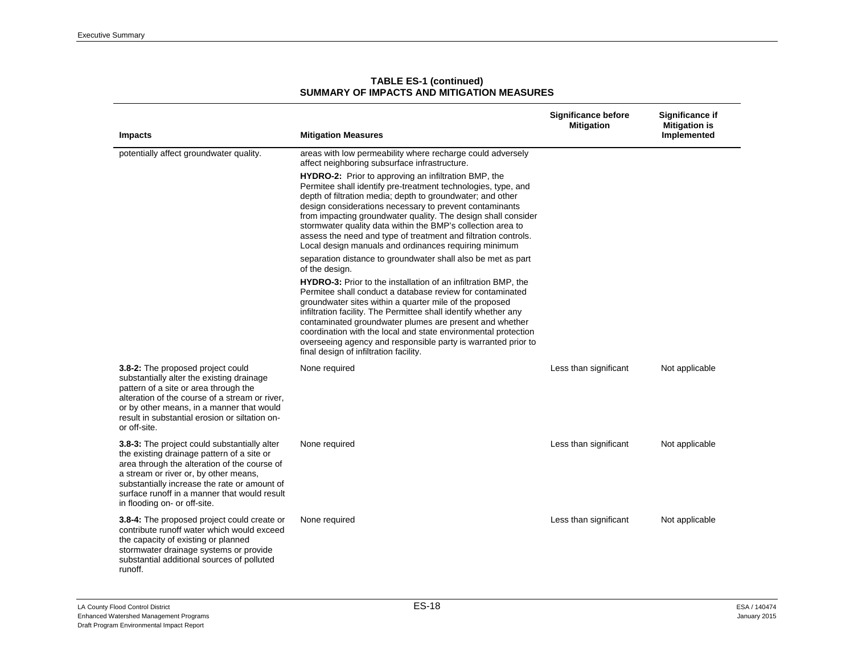|                                                                                                                                                                                                                                                                                                                     |                                                                                                                                                                                                                                                                                                                                                                                                                                                                                                                  | Significance before<br><b>Mitigation</b> | Significance if<br><b>Mitigation is</b> |
|---------------------------------------------------------------------------------------------------------------------------------------------------------------------------------------------------------------------------------------------------------------------------------------------------------------------|------------------------------------------------------------------------------------------------------------------------------------------------------------------------------------------------------------------------------------------------------------------------------------------------------------------------------------------------------------------------------------------------------------------------------------------------------------------------------------------------------------------|------------------------------------------|-----------------------------------------|
| <b>Impacts</b>                                                                                                                                                                                                                                                                                                      | <b>Mitigation Measures</b>                                                                                                                                                                                                                                                                                                                                                                                                                                                                                       |                                          | Implemented                             |
| potentially affect groundwater quality.                                                                                                                                                                                                                                                                             | areas with low permeability where recharge could adversely<br>affect neighboring subsurface infrastructure.                                                                                                                                                                                                                                                                                                                                                                                                      |                                          |                                         |
|                                                                                                                                                                                                                                                                                                                     | <b>HYDRO-2:</b> Prior to approving an infiltration BMP, the<br>Permitee shall identify pre-treatment technologies, type, and<br>depth of filtration media; depth to groundwater; and other<br>design considerations necessary to prevent contaminants<br>from impacting groundwater quality. The design shall consider<br>stormwater quality data within the BMP's collection area to<br>assess the need and type of treatment and filtration controls.<br>Local design manuals and ordinances requiring minimum |                                          |                                         |
|                                                                                                                                                                                                                                                                                                                     | separation distance to groundwater shall also be met as part<br>of the design.                                                                                                                                                                                                                                                                                                                                                                                                                                   |                                          |                                         |
|                                                                                                                                                                                                                                                                                                                     | <b>HYDRO-3:</b> Prior to the installation of an infiltration BMP, the<br>Permitee shall conduct a database review for contaminated<br>groundwater sites within a quarter mile of the proposed<br>infiltration facility. The Permittee shall identify whether any<br>contaminated groundwater plumes are present and whether<br>coordination with the local and state environmental protection<br>overseeing agency and responsible party is warranted prior to<br>final design of infiltration facility.         |                                          |                                         |
| 3.8-2: The proposed project could<br>substantially alter the existing drainage<br>pattern of a site or area through the<br>alteration of the course of a stream or river,<br>or by other means, in a manner that would<br>result in substantial erosion or siltation on-<br>or off-site.                            | None required                                                                                                                                                                                                                                                                                                                                                                                                                                                                                                    | Less than significant                    | Not applicable                          |
| 3.8-3: The project could substantially alter<br>the existing drainage pattern of a site or<br>area through the alteration of the course of<br>a stream or river or, by other means,<br>substantially increase the rate or amount of<br>surface runoff in a manner that would result<br>in flooding on- or off-site. | None required                                                                                                                                                                                                                                                                                                                                                                                                                                                                                                    | Less than significant                    | Not applicable                          |
| 3.8-4: The proposed project could create or<br>contribute runoff water which would exceed<br>the capacity of existing or planned<br>stormwater drainage systems or provide<br>substantial additional sources of polluted<br>runoff.                                                                                 | None required                                                                                                                                                                                                                                                                                                                                                                                                                                                                                                    | Less than significant                    | Not applicable                          |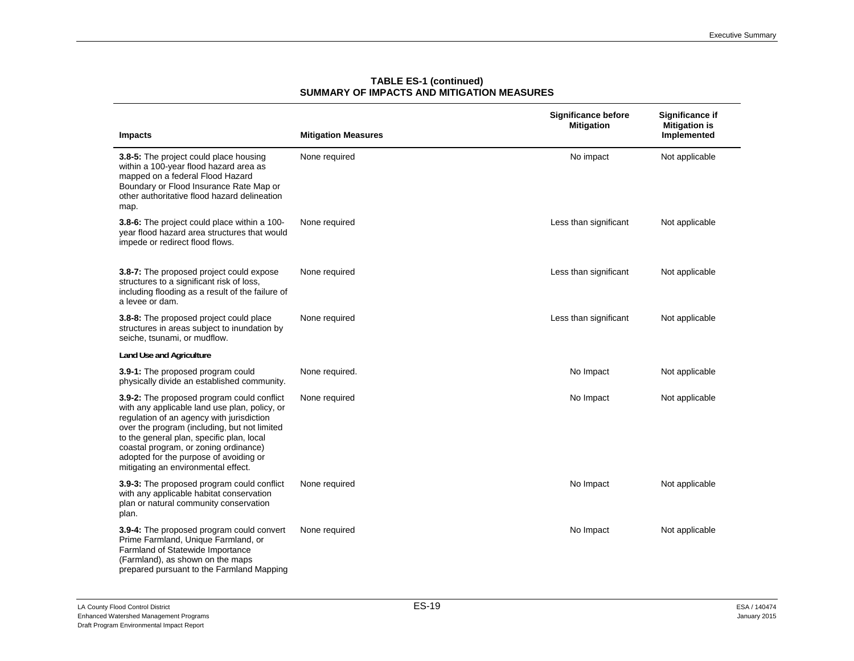|                                                                                                                                                                                                                                                                                                                                                                 |                            | <b>Significance before</b><br><b>Mitigation</b> | <b>Significance if</b><br><b>Mitigation is</b> |
|-----------------------------------------------------------------------------------------------------------------------------------------------------------------------------------------------------------------------------------------------------------------------------------------------------------------------------------------------------------------|----------------------------|-------------------------------------------------|------------------------------------------------|
| <b>Impacts</b>                                                                                                                                                                                                                                                                                                                                                  | <b>Mitigation Measures</b> |                                                 | Implemented                                    |
| 3.8-5: The project could place housing<br>within a 100-year flood hazard area as<br>mapped on a federal Flood Hazard<br>Boundary or Flood Insurance Rate Map or<br>other authoritative flood hazard delineation<br>map.                                                                                                                                         | None required              | No impact                                       | Not applicable                                 |
| 3.8-6: The project could place within a 100-<br>year flood hazard area structures that would<br>impede or redirect flood flows.                                                                                                                                                                                                                                 | None required              | Less than significant                           | Not applicable                                 |
| 3.8-7: The proposed project could expose<br>structures to a significant risk of loss,<br>including flooding as a result of the failure of<br>a levee or dam.                                                                                                                                                                                                    | None required              | Less than significant                           | Not applicable                                 |
| 3.8-8: The proposed project could place<br>structures in areas subject to inundation by<br>seiche, tsunami, or mudflow.                                                                                                                                                                                                                                         | None required              | Less than significant                           | Not applicable                                 |
| Land Use and Agriculture                                                                                                                                                                                                                                                                                                                                        |                            |                                                 |                                                |
| 3.9-1: The proposed program could<br>physically divide an established community.                                                                                                                                                                                                                                                                                | None required.             | No Impact                                       | Not applicable                                 |
| 3.9-2: The proposed program could conflict<br>with any applicable land use plan, policy, or<br>regulation of an agency with jurisdiction<br>over the program (including, but not limited<br>to the general plan, specific plan, local<br>coastal program, or zoning ordinance)<br>adopted for the purpose of avoiding or<br>mitigating an environmental effect. | None required              | No Impact                                       | Not applicable                                 |
| 3.9-3: The proposed program could conflict<br>with any applicable habitat conservation<br>plan or natural community conservation<br>plan.                                                                                                                                                                                                                       | None required              | No Impact                                       | Not applicable                                 |
| 3.9-4: The proposed program could convert<br>Prime Farmland, Unique Farmland, or<br>Farmland of Statewide Importance<br>(Farmland), as shown on the maps<br>prepared pursuant to the Farmland Mapping                                                                                                                                                           | None required              | No Impact                                       | Not applicable                                 |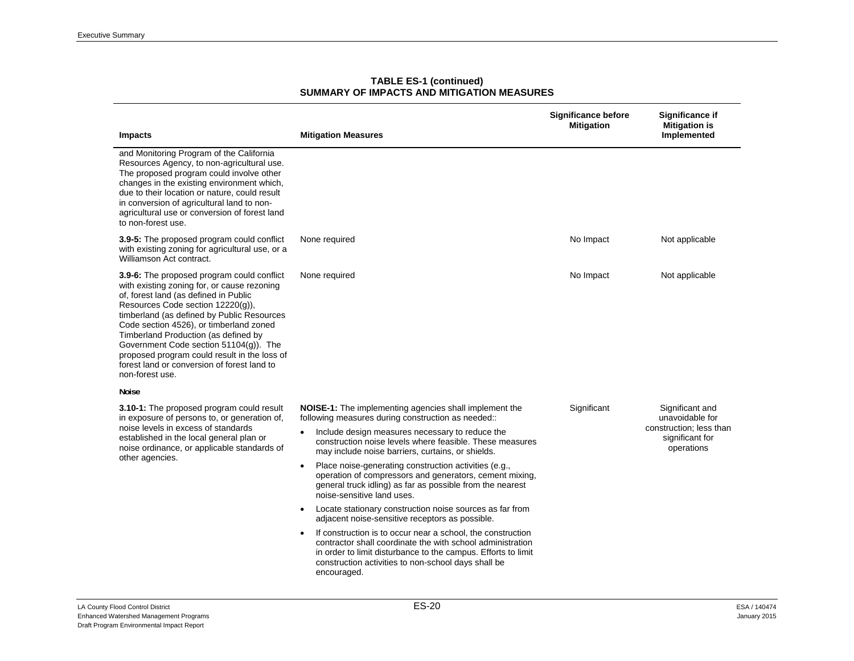| <b>Impacts</b>                                                                                                                                                                                                                                                                                                                                                                                                                                                       | <b>Mitigation Measures</b>                                                                                                                                                                                                                                                                                                                                                                                                                                                                                                                                                                                                                                                                                                                                                                                                                                                                                                                    | <b>Significance before</b><br><b>Mitigation</b> | Significance if<br><b>Mitigation is</b><br>Implemented                                         |
|----------------------------------------------------------------------------------------------------------------------------------------------------------------------------------------------------------------------------------------------------------------------------------------------------------------------------------------------------------------------------------------------------------------------------------------------------------------------|-----------------------------------------------------------------------------------------------------------------------------------------------------------------------------------------------------------------------------------------------------------------------------------------------------------------------------------------------------------------------------------------------------------------------------------------------------------------------------------------------------------------------------------------------------------------------------------------------------------------------------------------------------------------------------------------------------------------------------------------------------------------------------------------------------------------------------------------------------------------------------------------------------------------------------------------------|-------------------------------------------------|------------------------------------------------------------------------------------------------|
| and Monitoring Program of the California<br>Resources Agency, to non-agricultural use.<br>The proposed program could involve other<br>changes in the existing environment which,<br>due to their location or nature, could result<br>in conversion of agricultural land to non-<br>agricultural use or conversion of forest land<br>to non-forest use.                                                                                                               |                                                                                                                                                                                                                                                                                                                                                                                                                                                                                                                                                                                                                                                                                                                                                                                                                                                                                                                                               |                                                 |                                                                                                |
| 3.9-5: The proposed program could conflict<br>with existing zoning for agricultural use, or a<br>Williamson Act contract.                                                                                                                                                                                                                                                                                                                                            | None required                                                                                                                                                                                                                                                                                                                                                                                                                                                                                                                                                                                                                                                                                                                                                                                                                                                                                                                                 | No Impact                                       | Not applicable                                                                                 |
| 3.9-6: The proposed program could conflict<br>with existing zoning for, or cause rezoning<br>of, forest land (as defined in Public<br>Resources Code section 12220(g)),<br>timberland (as defined by Public Resources<br>Code section 4526), or timberland zoned<br>Timberland Production (as defined by<br>Government Code section 51104(g)). The<br>proposed program could result in the loss of<br>forest land or conversion of forest land to<br>non-forest use. | None required                                                                                                                                                                                                                                                                                                                                                                                                                                                                                                                                                                                                                                                                                                                                                                                                                                                                                                                                 | No Impact                                       | Not applicable                                                                                 |
| Noise                                                                                                                                                                                                                                                                                                                                                                                                                                                                |                                                                                                                                                                                                                                                                                                                                                                                                                                                                                                                                                                                                                                                                                                                                                                                                                                                                                                                                               |                                                 |                                                                                                |
| 3.10-1: The proposed program could result<br>in exposure of persons to, or generation of,<br>noise levels in excess of standards<br>established in the local general plan or<br>noise ordinance, or applicable standards of<br>other agencies.                                                                                                                                                                                                                       | <b>NOISE-1:</b> The implementing agencies shall implement the<br>following measures during construction as needed::<br>Include design measures necessary to reduce the<br>$\bullet$<br>construction noise levels where feasible. These measures<br>may include noise barriers, curtains, or shields.<br>Place noise-generating construction activities (e.g.,<br>$\bullet$<br>operation of compressors and generators, cement mixing,<br>general truck idling) as far as possible from the nearest<br>noise-sensitive land uses.<br>Locate stationary construction noise sources as far from<br>$\bullet$<br>adjacent noise-sensitive receptors as possible.<br>If construction is to occur near a school, the construction<br>$\bullet$<br>contractor shall coordinate the with school administration<br>in order to limit disturbance to the campus. Efforts to limit<br>construction activities to non-school days shall be<br>encouraged. | Significant                                     | Significant and<br>unavoidable for<br>construction; less than<br>significant for<br>operations |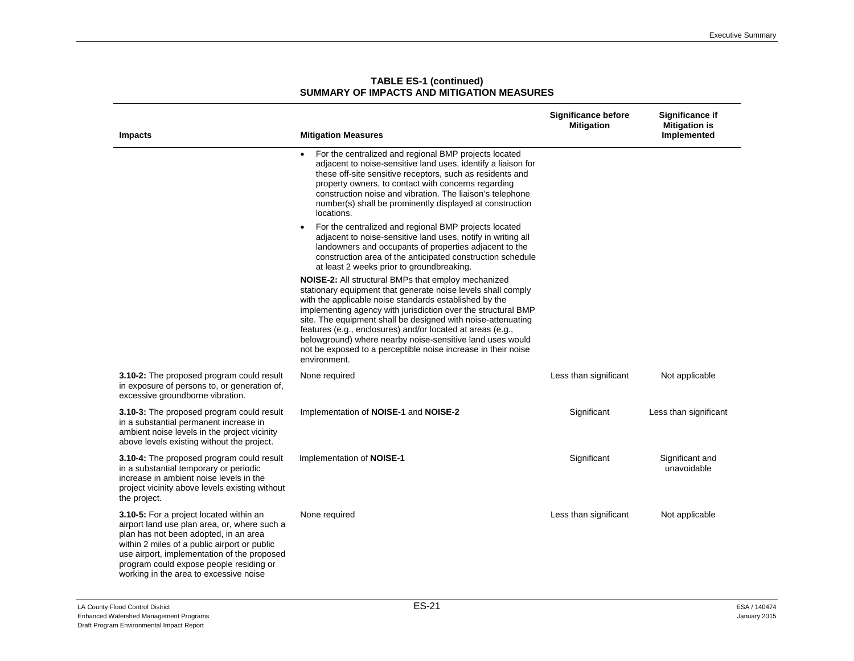| <b>Impacts</b>                                                                                                                                                                                                                                                                                                       | <b>Mitigation Measures</b>                                                                                                                                                                                                                                                                                                                                                                                                                                                                                                        | <b>Significance before</b><br><b>Mitigation</b> | Significance if<br><b>Mitigation is</b><br>Implemented |
|----------------------------------------------------------------------------------------------------------------------------------------------------------------------------------------------------------------------------------------------------------------------------------------------------------------------|-----------------------------------------------------------------------------------------------------------------------------------------------------------------------------------------------------------------------------------------------------------------------------------------------------------------------------------------------------------------------------------------------------------------------------------------------------------------------------------------------------------------------------------|-------------------------------------------------|--------------------------------------------------------|
|                                                                                                                                                                                                                                                                                                                      | For the centralized and regional BMP projects located<br>$\bullet$<br>adjacent to noise-sensitive land uses, identify a liaison for<br>these off-site sensitive receptors, such as residents and<br>property owners, to contact with concerns regarding<br>construction noise and vibration. The liaison's telephone<br>number(s) shall be prominently displayed at construction<br>locations.                                                                                                                                    |                                                 |                                                        |
|                                                                                                                                                                                                                                                                                                                      | For the centralized and regional BMP projects located<br>$\bullet$<br>adjacent to noise-sensitive land uses, notify in writing all<br>landowners and occupants of properties adjacent to the<br>construction area of the anticipated construction schedule<br>at least 2 weeks prior to groundbreaking.                                                                                                                                                                                                                           |                                                 |                                                        |
|                                                                                                                                                                                                                                                                                                                      | <b>NOISE-2:</b> All structural BMPs that employ mechanized<br>stationary equipment that generate noise levels shall comply<br>with the applicable noise standards established by the<br>implementing agency with jurisdiction over the structural BMP<br>site. The equipment shall be designed with noise-attenuating<br>features (e.g., enclosures) and/or located at areas (e.g.,<br>belowground) where nearby noise-sensitive land uses would<br>not be exposed to a perceptible noise increase in their noise<br>environment. |                                                 |                                                        |
| 3.10-2: The proposed program could result<br>in exposure of persons to, or generation of,<br>excessive groundborne vibration.                                                                                                                                                                                        | None required                                                                                                                                                                                                                                                                                                                                                                                                                                                                                                                     | Less than significant                           | Not applicable                                         |
| 3.10-3: The proposed program could result<br>in a substantial permanent increase in<br>ambient noise levels in the project vicinity<br>above levels existing without the project.                                                                                                                                    | Implementation of NOISE-1 and NOISE-2                                                                                                                                                                                                                                                                                                                                                                                                                                                                                             | Significant                                     | Less than significant                                  |
| 3.10-4: The proposed program could result<br>in a substantial temporary or periodic<br>increase in ambient noise levels in the<br>project vicinity above levels existing without<br>the project.                                                                                                                     | Implementation of NOISE-1                                                                                                                                                                                                                                                                                                                                                                                                                                                                                                         | Significant                                     | Significant and<br>unavoidable                         |
| 3.10-5: For a project located within an<br>airport land use plan area, or, where such a<br>plan has not been adopted, in an area<br>within 2 miles of a public airport or public<br>use airport, implementation of the proposed<br>program could expose people residing or<br>working in the area to excessive noise | None required                                                                                                                                                                                                                                                                                                                                                                                                                                                                                                                     | Less than significant                           | Not applicable                                         |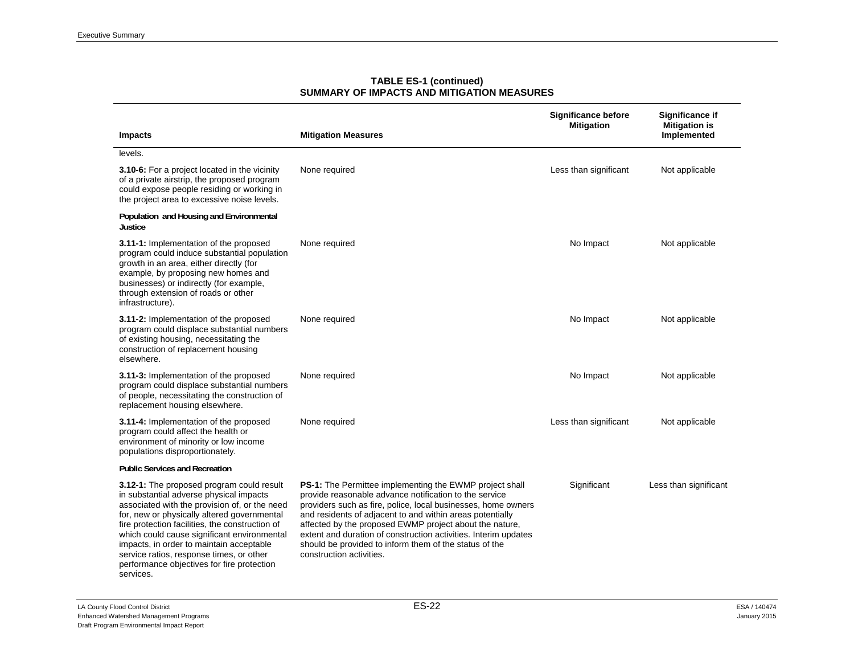| <b>Impacts</b>                                                                                                                                                                                                                                                                                                                                                                                                                            | <b>Mitigation Measures</b>                                                                                                                                                                                                                                                                                                                                                                                                                                                 | <b>Significance before</b><br><b>Mitigation</b> | <b>Significance if</b><br><b>Mitigation is</b><br>Implemented |
|-------------------------------------------------------------------------------------------------------------------------------------------------------------------------------------------------------------------------------------------------------------------------------------------------------------------------------------------------------------------------------------------------------------------------------------------|----------------------------------------------------------------------------------------------------------------------------------------------------------------------------------------------------------------------------------------------------------------------------------------------------------------------------------------------------------------------------------------------------------------------------------------------------------------------------|-------------------------------------------------|---------------------------------------------------------------|
| levels.                                                                                                                                                                                                                                                                                                                                                                                                                                   |                                                                                                                                                                                                                                                                                                                                                                                                                                                                            |                                                 |                                                               |
| 3.10-6: For a project located in the vicinity<br>of a private airstrip, the proposed program<br>could expose people residing or working in<br>the project area to excessive noise levels.                                                                                                                                                                                                                                                 | None required                                                                                                                                                                                                                                                                                                                                                                                                                                                              | Less than significant                           | Not applicable                                                |
| Population and Housing and Environmental<br>Justice                                                                                                                                                                                                                                                                                                                                                                                       |                                                                                                                                                                                                                                                                                                                                                                                                                                                                            |                                                 |                                                               |
| 3.11-1: Implementation of the proposed<br>program could induce substantial population<br>growth in an area, either directly (for<br>example, by proposing new homes and<br>businesses) or indirectly (for example,<br>through extension of roads or other<br>infrastructure).                                                                                                                                                             | None required                                                                                                                                                                                                                                                                                                                                                                                                                                                              | No Impact                                       | Not applicable                                                |
| 3.11-2: Implementation of the proposed<br>program could displace substantial numbers<br>of existing housing, necessitating the<br>construction of replacement housing<br>elsewhere.                                                                                                                                                                                                                                                       | None required                                                                                                                                                                                                                                                                                                                                                                                                                                                              | No Impact                                       | Not applicable                                                |
| 3.11-3: Implementation of the proposed<br>program could displace substantial numbers<br>of people, necessitating the construction of<br>replacement housing elsewhere.                                                                                                                                                                                                                                                                    | None required                                                                                                                                                                                                                                                                                                                                                                                                                                                              | No Impact                                       | Not applicable                                                |
| 3.11-4: Implementation of the proposed<br>program could affect the health or<br>environment of minority or low income<br>populations disproportionately.                                                                                                                                                                                                                                                                                  | None required                                                                                                                                                                                                                                                                                                                                                                                                                                                              | Less than significant                           | Not applicable                                                |
| <b>Public Services and Recreation</b>                                                                                                                                                                                                                                                                                                                                                                                                     |                                                                                                                                                                                                                                                                                                                                                                                                                                                                            |                                                 |                                                               |
| 3.12-1: The proposed program could result<br>in substantial adverse physical impacts<br>associated with the provision of, or the need<br>for, new or physically altered governmental<br>fire protection facilities, the construction of<br>which could cause significant environmental<br>impacts, in order to maintain acceptable<br>service ratios, response times, or other<br>performance objectives for fire protection<br>services. | <b>PS-1:</b> The Permittee implementing the EWMP project shall<br>provide reasonable advance notification to the service<br>providers such as fire, police, local businesses, home owners<br>and residents of adjacent to and within areas potentially<br>affected by the proposed EWMP project about the nature,<br>extent and duration of construction activities. Interim updates<br>should be provided to inform them of the status of the<br>construction activities. | Significant                                     | Less than significant                                         |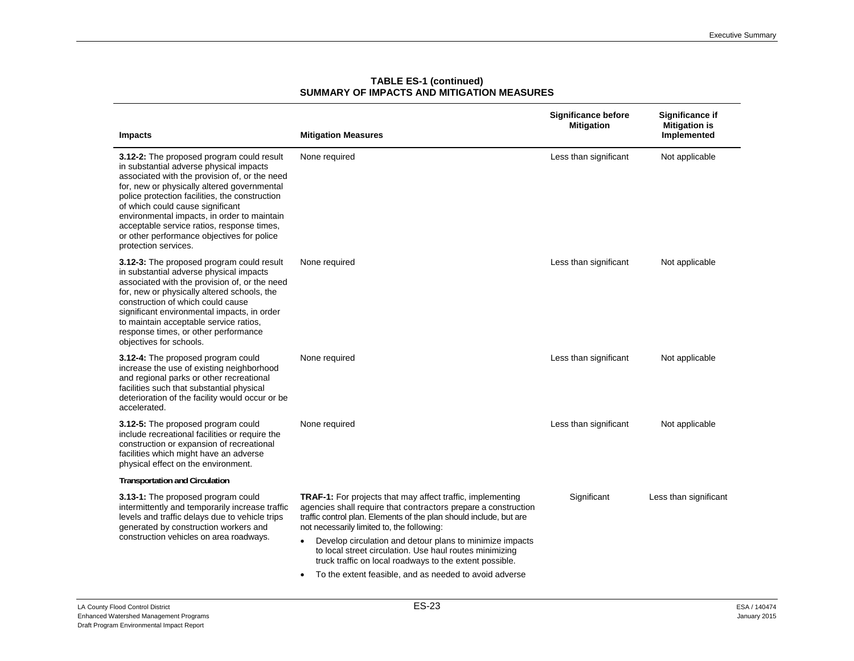|  | <b>Impacts</b>                                                                                                                                                                                                                                                                                                                                                                                                                                | <b>Mitigation Measures</b>                                                                                                                                                                                                                              | Significance before<br><b>Mitigation</b> | Significance if<br><b>Mitigation is</b><br>Implemented |
|--|-----------------------------------------------------------------------------------------------------------------------------------------------------------------------------------------------------------------------------------------------------------------------------------------------------------------------------------------------------------------------------------------------------------------------------------------------|---------------------------------------------------------------------------------------------------------------------------------------------------------------------------------------------------------------------------------------------------------|------------------------------------------|--------------------------------------------------------|
|  | 3.12-2: The proposed program could result<br>in substantial adverse physical impacts<br>associated with the provision of, or the need<br>for, new or physically altered governmental<br>police protection facilities, the construction<br>of which could cause significant<br>environmental impacts, in order to maintain<br>acceptable service ratios, response times,<br>or other performance objectives for police<br>protection services. | None required                                                                                                                                                                                                                                           | Less than significant                    | Not applicable                                         |
|  | 3.12-3: The proposed program could result<br>in substantial adverse physical impacts<br>associated with the provision of, or the need<br>for, new or physically altered schools, the<br>construction of which could cause<br>significant environmental impacts, in order<br>to maintain acceptable service ratios,<br>response times, or other performance<br>objectives for schools.                                                         | None required                                                                                                                                                                                                                                           | Less than significant                    | Not applicable                                         |
|  | 3.12-4: The proposed program could<br>increase the use of existing neighborhood<br>and regional parks or other recreational<br>facilities such that substantial physical<br>deterioration of the facility would occur or be<br>accelerated.                                                                                                                                                                                                   | None required                                                                                                                                                                                                                                           | Less than significant                    | Not applicable                                         |
|  | 3.12-5: The proposed program could<br>include recreational facilities or require the<br>construction or expansion of recreational<br>facilities which might have an adverse<br>physical effect on the environment.                                                                                                                                                                                                                            | None required                                                                                                                                                                                                                                           | Less than significant                    | Not applicable                                         |
|  | <b>Transportation and Circulation</b>                                                                                                                                                                                                                                                                                                                                                                                                         |                                                                                                                                                                                                                                                         |                                          |                                                        |
|  | 3.13-1: The proposed program could<br>intermittently and temporarily increase traffic<br>levels and traffic delays due to vehicle trips<br>generated by construction workers and<br>construction vehicles on area roadways.                                                                                                                                                                                                                   | <b>TRAF-1:</b> For projects that may affect traffic, implementing<br>agencies shall require that contractors prepare a construction<br>traffic control plan. Elements of the plan should include, but are<br>not necessarily limited to, the following: | Significant                              | Less than significant                                  |
|  |                                                                                                                                                                                                                                                                                                                                                                                                                                               | Develop circulation and detour plans to minimize impacts<br>$\bullet$<br>to local street circulation. Use haul routes minimizing<br>truck traffic on local roadways to the extent possible.                                                             |                                          |                                                        |
|  |                                                                                                                                                                                                                                                                                                                                                                                                                                               | To the extent feasible, and as needed to avoid adverse<br>$\bullet$                                                                                                                                                                                     |                                          |                                                        |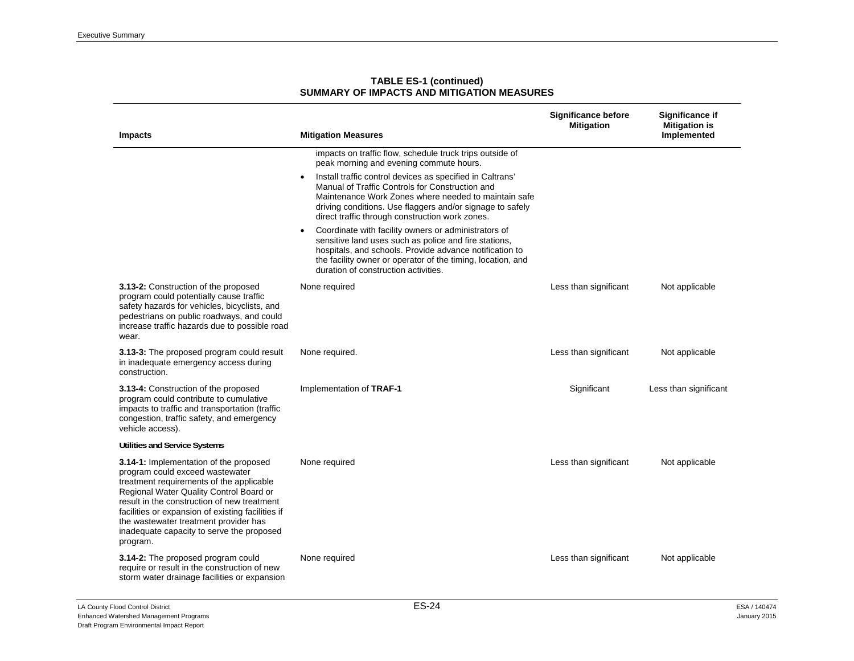|                                                                                                                                                                                                                                                                                                                                                                        |                                                                                                                                                                                                                                                                                                   | <b>Significance before</b><br><b>Mitigation</b> | <b>Significance if</b><br><b>Mitigation is</b> |
|------------------------------------------------------------------------------------------------------------------------------------------------------------------------------------------------------------------------------------------------------------------------------------------------------------------------------------------------------------------------|---------------------------------------------------------------------------------------------------------------------------------------------------------------------------------------------------------------------------------------------------------------------------------------------------|-------------------------------------------------|------------------------------------------------|
| <b>Impacts</b>                                                                                                                                                                                                                                                                                                                                                         | <b>Mitigation Measures</b>                                                                                                                                                                                                                                                                        |                                                 | Implemented                                    |
|                                                                                                                                                                                                                                                                                                                                                                        | impacts on traffic flow, schedule truck trips outside of<br>peak morning and evening commute hours.                                                                                                                                                                                               |                                                 |                                                |
|                                                                                                                                                                                                                                                                                                                                                                        | Install traffic control devices as specified in Caltrans'<br>$\bullet$<br>Manual of Traffic Controls for Construction and<br>Maintenance Work Zones where needed to maintain safe<br>driving conditions. Use flaggers and/or signage to safely<br>direct traffic through construction work zones. |                                                 |                                                |
|                                                                                                                                                                                                                                                                                                                                                                        | Coordinate with facility owners or administrators of<br>$\bullet$<br>sensitive land uses such as police and fire stations,<br>hospitals, and schools. Provide advance notification to<br>the facility owner or operator of the timing, location, and<br>duration of construction activities.      |                                                 |                                                |
| 3.13-2: Construction of the proposed<br>program could potentially cause traffic<br>safety hazards for vehicles, bicyclists, and<br>pedestrians on public roadways, and could<br>increase traffic hazards due to possible road<br>wear.                                                                                                                                 | None required                                                                                                                                                                                                                                                                                     | Less than significant                           | Not applicable                                 |
| 3.13-3: The proposed program could result<br>in inadequate emergency access during<br>construction.                                                                                                                                                                                                                                                                    | None required.                                                                                                                                                                                                                                                                                    | Less than significant                           | Not applicable                                 |
| 3.13-4: Construction of the proposed<br>program could contribute to cumulative<br>impacts to traffic and transportation (traffic<br>congestion, traffic safety, and emergency<br>vehicle access).                                                                                                                                                                      | Implementation of TRAF-1                                                                                                                                                                                                                                                                          | Significant                                     | Less than significant                          |
| Utilities and Service Systems                                                                                                                                                                                                                                                                                                                                          |                                                                                                                                                                                                                                                                                                   |                                                 |                                                |
| 3.14-1: Implementation of the proposed<br>program could exceed wastewater<br>treatment requirements of the applicable<br>Regional Water Quality Control Board or<br>result in the construction of new treatment<br>facilities or expansion of existing facilities if<br>the wastewater treatment provider has<br>inadequate capacity to serve the proposed<br>program. | None required                                                                                                                                                                                                                                                                                     | Less than significant                           | Not applicable                                 |
| 3.14-2: The proposed program could<br>require or result in the construction of new<br>storm water drainage facilities or expansion                                                                                                                                                                                                                                     | None required                                                                                                                                                                                                                                                                                     | Less than significant                           | Not applicable                                 |